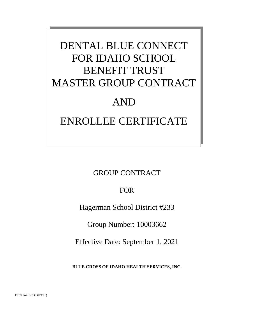# DENTAL BLUE CONNECT FOR IDAHO SCHOOL BENEFIT TRUST MASTER GROUP CONTRACT AND ENROLLEE CERTIFICATE

GROUP CONTRACT

FOR

Hagerman School District #233

Group Number: 10003662

Effective Date: September 1, 2021

**BLUE CROSS OF IDAHO HEALTH SERVICES, INC.**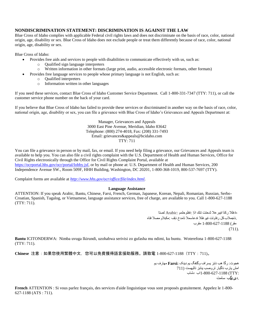## **NONDISCRIMINATION STATEMENT: DISCRIMINATION IS AGAINST THE LAW**

Blue Cross of Idaho complies with applicable Federal civil rights laws and does not discriminate on the basis of race, color, national origin, age, disability or sex. Blue Cross of Idaho does not exclude people or treat them differently because of race, color, national origin, age, disability or sex.

Blue Cross of Idaho:

- Provides free aids and services to people with disabilities to communicate effectively with us, such as:
	- o Qualified sign language interpreters
	- o Written information in other formats (large print, audio, accessible electronic formats, other formats)
	- Provides free language services to people whose primary language is not English, such as:
		- o Qualified interpreters
		- o Information written in other languages

If you need these services, contact Blue Cross of Idaho Customer Service Department. Call 1-800-331-7347 (TTY: 711), or call the customer service phone number on the back of your card.

If you believe that Blue Cross of Idaho has failed to provide these services or discriminated in another way on the basis of race, color, national origin, age, disability or sex, you can file a grievance with Blue Cross of Idaho's Grievances and Appeals Department at:

> Manager, Grievances and Appeals 3000 East Pine Avenue, Meridian, Idaho 83642 Telephone: (800) 274-4018, Fax: (208) 331-7493 Email: grievances&appeals@bcidaho.com TTY: 711

You can file a grievance in person or by mail, fax, or email. If you need help filing a grievance, our Grievances and Appeals team is available to help you. You can also file a civil rights complaint with the U.S. Department of Health and Human Services, Office for Civil Rights electronically through the Office for Civil Rights Complaint Portal, available at [https://ocrportal.hhs.gov/ocr/portal/lobby.jsf,](https://ocrportal.hhs.gov/ocr/portal/lobby.jsf) or by mail or phone at: U.S. Department of Health and Human Services, 200 Independence Avenue SW., Room 509F, HHH Building, Washington, DC 20201, 1-800-368-1019, 800-537-7697 (TTY).

Complaint forms are available at *[http://www.hhs.gov/ocr/office/file/index.html.](http://www.hhs.gov/ocr/office/file/index.html)*

#### **Language Assistance**

ATTENTION: If you speak Arabic, Bantu, Chinese, Farsi, French, German, Japanese, Korean, Nepali, Romanian, Russian, Serbo-Croatian, Spanish, Tagalog, or Vietnamese, language assistance services, free of charge, are available to you. Call 1-800-627-1188 (TTY: 711).

> ،جغلال زكراجيثسعال ثدحتت تنك اذإ :جظىحلمم :Arabic لصتا .ناجملاب كل رفاوتت ةيوغللا ةدعاسملا تامدخ نإف :مكبلاو مصلا فتاه مقس) 1-800-627-1188 مقسب (711).

**Bantu** ICITONDERWA: Nimba uvuga Ikirundi, uzohabwa serivisi zo gufasha mu ndimi, ku buntu. Woterefona 1-800-627-1188 (TTY: 711).

**Chinese** 注意:如果您使用繁體中文,您可以免費獲得語言援助服務。請致電 1-800-627-1188(TTY:711)。

```
هجىت: زگا هة ناتز يسساف وگتفگ يم دينک :Farsi مهازف يم
             امش يارب ناگيار تروصب ينابز تاليهست (711
                  :TTY (1-800-627-1188اب دشاب
                                     .دیزیگة سامت
```
**French** ATTENTION : Si vous parlez français, des services d'aide linguistique vous sont proposés gratuitement. Appelez le 1-800- 627-1188 (ATS : 711).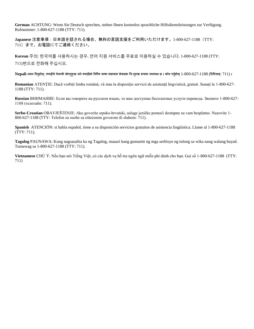**German** ACHTUNG: Wenn Sie Deutsch sprechen, stehen Ihnen kostenlos sprachliche Hilfsdienstleistungen zur Verfügung. Rufnummer: 1-800-627-1188 (TTY: 711).

**Japanese** 注意事項:日本語を話される場合、無料の言語支援をご利用いただけます。1-800-627-1188(TTY: 711)まで、お電話にてご連絡ください。

**Korean** 주의: 한국어를 사용하시는 경우, 언어 지원 서비스를 무료로 이용하실 수 있습니다. 1-800-627-1188 (TTY: 711)번으로 전화해 주십시오.

Nepali ध्यान दिनुहोस्: तपाईँले नेपाली बोल्नुहुन्छ भने तपाईँको निम्ति भाषा सहायता सेवाहरू निःशुल्क रूपमा उपलब्ध छ । फोन गर्नुहोस् 1-800-627-1188 (टिटिवाइ: 711) ।

**Romanian** ATENȚIE: Dacă vorbiți limba română, vă stau la dispoziție servicii de asistență lingvistică, gratuit. Sunați la 1-800-627- 1188 (TTY: 711).

**Russian** ВНИМАНИЕ: Если вы говорите на русском языке, то вам доступны бесплатные услуги перевода. Звоните 1-800-627- 1188 (телетайп: 711).

**Serbo-Croatian** OBAVJEŠTENJE: Ako govorite srpsko-hrvatski, usluge jezičke pomoći dostupne su vam besplatno. Nazovite 1- 800-627-1188 (TTY- Telefon za osobe sa oštećenim govorom ili sluhom: 711).

**Spanish** ATENCIÓN: si habla español, tiene a su disposición servicios gratuitos de asistencia lingüística. Llame al 1-800-627-1188 (TTY: 711).

**Tagalog** PAUNAWA: Kung nagsasalita ka ng Tagalog, maaari kang gumamit ng mga serbisyo ng tulong sa wika nang walang bayad. Tumawag sa 1-800-627-1188 (TTY: 711).

**Vietnamese** CHÚ Ý: Nếu bạn nói Tiếng Việt, có các dịch vụ hỗ trợ ngôn ngữ miễn phí dành cho bạn. Gọi số 1-800-627-1188 (TTY: 711)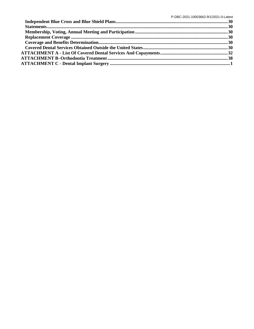P-DBC-2021-10003662-9/1/2021-0-Latest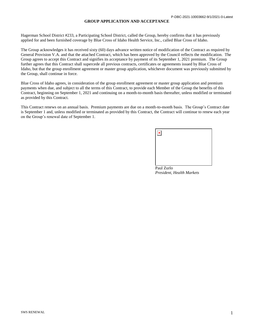#### **GROUP APPLICATION AND ACCEPTANCE**

Hagerman School District #233, a Participating School District, called the Group, hereby confirms that it has previously applied for and been furnished coverage by Blue Cross of Idaho Health Service, Inc., called Blue Cross of Idaho.

The Group acknowledges it has received sixty (60) days advance written notice of modification of the Contract as required by General Provision V.A. and that the attached Contract, which has been approved by the Council reflects the modification. The Group agrees to accept this Contract and signifies its acceptance by payment of its September 1, 2021 premium. The Group further agrees that this Contract shall supercede all previous contracts, certificates or agreements issued by Blue Cross of Idaho, but that the group enrollment agreement or master group application, whichever document was previously submitted by the Group, shall continue in force.

Blue Cross of Idaho agrees, in consideration of the group enrollment agreement or master group application and premium payments when due, and subject to all the terms of this Contract, to provide each Member of the Group the benefits of this Contract, beginning on September 1, 2021 and continuing on a month-to-month basis thereafter, unless modified or terminated as provided by this Contract.

This Contract renews on an annual basis. Premium payments are due on a month-to-month basis. The Group's Contract date is September 1 and, unless modified or terminated as provided by this Contract, the Contract will continue to renew each year on the Group's renewal date of September 1.

| $\pmb{\times}$ |  |  |
|----------------|--|--|
|                |  |  |
|                |  |  |
|                |  |  |

Paul Zurlo *President, Health Markets*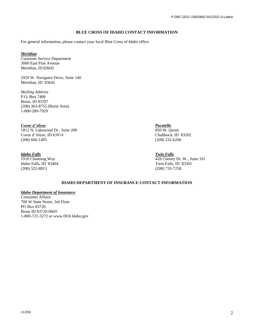# **BLUE CROSS OF IDAHO CONTACT INFORMATION**

For general information, please contact your local Blue Cross of Idaho office:

# *Meridian*

Customer Service Department 3000 East Pine Avenue Meridian, ID 83642

2929 W. Navigator Drive, Suite 140 Meridian, ID 83642

*Mailing Address* P.O. Box 7408 Boise, ID 83707 (208) 363-8755 (Boise Area) 1-800-289-7929

*Coeur d'Alene Pocatello*  $1812$  N. Lakewood Dr., Suite  $200$ Coeur d'Alene, ID 83814 Chubbuck, ID 83202<br>
(208) 666-1495 (208) 666-1495  $(208)$  666-1495

# *Idaho Falls Twin Falls*

Idaho Falls, ID 83404 Twin Falls, ID 83301 (208) 522-8813 (208) 733-7258

1910 Channing Way 428 Cheney Dr. W., Suite 101

# **IDAHO DEPARTMENT OF INSURANCE CONTACT INFORMATION**

#### *Idaho Department of Insurance*

Consumer Affairs 700 W State Street, 3rd Floor PO Box 83720 Boise ID 83720-0043 1-800-721-3272 or www.DOI.Idaho.gov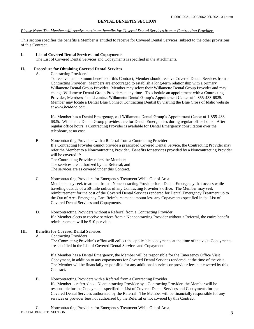#### **DENTAL BENEFITS SECTION**

#### *Please Note: The Member will receive maximum benefits for Covered Dental Services from a Contracting Provider.*

This section specifies the benefits a Member is entitled to receive for Covered Dental Services, subject to the other provisions of this Contract.

#### **I. List of Covered Dental Services and Copayments**

The List of Covered Dental Services and Copayments is specified in the attachments.

#### **II. Procedure for Obtaining Covered Dental Services**

A. Contracting Providers

To receive the maximum benefits of this Contract, Member should receive Covered Dental Services from a Contracting Provider. Members are encouraged to establish a long-term relationship with a primary Willamette Dental Group Provider. Member may select their Willamette Dental Group Provider and may change Willamette Dental Group Providers at any time. To schedule an appointment with a Contracting Provider, Members should contact Willamette Dental Group's Appointment Center at 1-855-433-6825. Member may locate a Dental Blue Connect Contracting Dentist by visiting the Blue Cross of Idaho website at *www.bcidaho.com.* 

If a Member has a Dental Emergency, call Willamette Dental Group's Appointment Center at 1-855-433- 6825. Willamette Dental Group provides care for Dental Emergencies during regular office hours. After regular office hours, a Contracting Provider is available for Dental Emergency consultation over the telephone, at no cost.

B. Noncontracting Providers with a Referral from a Contracting Provider

If a Contracting Provider cannot provide a prescribed Covered Dental Service, the Contracting Provider may refer the Member to a Noncontracting Provider. Benefits for services provided by a Noncontracting Provider will be covered if:

The Contracting Provider refers the Member; The services are authorized by the Referral; and

The services are as covered under this Contract.

C. Noncontracting Providers for Emergency Treatment While Out of Area

Members may seek treatment from a Noncontracting Provider for a Dental Emergency that occurs while traveling outside of a 50-mile radius of any Contracting Provider's office. The Member may seek reimbursement for the cost of the Covered Dental Services rendered for Dental Emergency Treatment up to the Out of Area Emergency Care Reimbursement amount less any Copayments specified in the List of Covered Dental Services and Copayments.

D. Noncontracting Providers without a Referral from a Contracting Provider If a Member elects to receive services from a Noncontracting Provider without a Referral, the entire benefit reimbursement will be \$10 per visit.

#### **III. Benefits for Covered Dental Services**

A. Contracting Providers

The Contracting Provider's office will collect the applicable copayments at the time of the visit. Copayments are specified in the List of Covered Dental Services and Copayment.

If a Member has a Dental Emergency, the Member will be responsible for the Emergency Office Visit Copayment, in addition to any copayments for Covered Dental Services rendered, at the time of the visit. The Member will be financially responsible for any additional services or provider fees not covered by this Contract.

B. Noncontracting Providers with a Referral from a Contracting Provider If a Member is referred to a Noncontracting Provider by a Contracting Provider, the Member will be responsible for the Copayments specified in List of Covered Dental Services and Copayments for the Covered Dental Services authorized by the Referral. The Member will be financially responsible for any services or provider fees not authorized by the Referral or not covered by this Contract.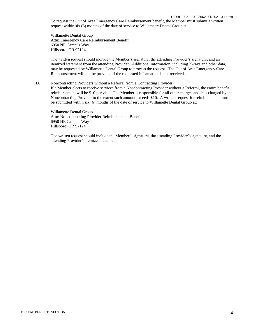#### P-DBC-2021-10003662-9/1/2021-0-Latest

To request the Out of Area Emergency Care Reimbursement benefit, the Member must submit a written request within six (6) months of the date of service to Willamette Dental Group at:

Willamette Dental Group Attn: Emergency Care Reimbursement Benefit 6950 NE Campus Way Hillsboro, OR 97124

The written request should include the Member's signature, the attending Provider's signature, and an itemized statement from the attending Provider. Additional information, including X-rays and other data, may be requested by Willamette Dental Group to process the request. The Out of Area Emergency Care Reimbursement will not be provided if the requested information is not received.

#### D. Noncontracting Providers without a Referral from a Contracting Provider.

If a Member elects to receive services from a Noncontracting Provider without a Referral, the entire benefit reimbursement will be \$10 per visit. The Member is responsible for all other charges and fees charged by the Noncontracting Provider to the extent such amount exceeds \$10. A written request for reimbursement must be submitted within six (6) months of the date of service to Willamette Dental Group at:

Willamette Dental Group Attn: Noncontracting Provider Reimbursement Benefit 6950 NE Campus Way Hillsboro, OR 97124

The written request should include the Member's signature, the attending Provider's signature, and the attending Provider's itemized statement.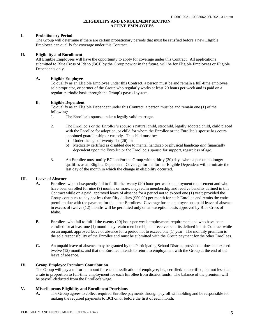#### **ELIGIBILITY AND ENROLLMENT SECTION ACTIVE EMPLOYEES**

#### **I. Probationary Period**

The Group will determine if there are certain probationary periods that must be satisfied before a new Eligible Employee can qualify for coverage under this Contract.

#### **II. Eligibility and Enrollment**

All Eligible Employees will have the opportunity to apply for coverage under this Contract. All applications submitted to Blue Cross of Idaho (BCI) by the Group now or in the future, will be for Eligible Employees or Eligible Dependents only.

### **A. Eligible Employee**

To qualify as an Eligible Employee under this Contract, a person must be and remain a full-time employee, sole proprietor, or partner of the Group who regularly works at least 20 hours per week and is paid on a regular, periodic basis through the Group's payroll system.

### **B. Eligible Dependent**

To qualify as an Eligible Dependent under this Contract, a person must be and remain one (1) of the following:

- 1. The Enrollee's spouse under a legally valid marriage.
- 2. The Enrollee's or the Enrollee's spouse's natural child, stepchild, legally adopted child, child placed with the Enrollee for adoption, or child for whom the Enrollee or the Enrollee's spouse has courtappointed guardianship or custody. The child must be:
	- a) Under the age of twenty-six (26); or
	- b) Medically certified as disabled due to mental handicap or physical handicap *and* financially dependent upon the Enrollee or the Enrollee's spouse for support, regardless of age.
- 3. An Enrollee must notify BCI and/or the Group within thirty (30) days when a person no longer qualifies as an Eligible Dependent. Coverage for the former Eligible Dependent will terminate the last day of the month in which the change in eligibility occurred.

# **III. Leave of Absence**

- **A.** Enrollees who subsequently fail to fulfill the twenty (20) hour-per-week employment requirement and who have been enrolled for nine (9) months or more, may retain membership and receive benefits defined in this Contract while on a paid, approved leave of absence for a period not to exceed one (1) year; provided the Group continues to pay not less than fifty dollars (\$50.00) per month for each Enrollee and remits the entire premium due with the payment for the other Enrollees. Coverage for an employee on a paid leave of absence in excess of twelve (12) months will be permitted only on an exception basis approved by Blue Cross of Idaho.
- **B.** Enrollees who fail to fulfill the twenty (20) hour-per-week employment requirement and who have been enrolled for at least one (1) month may retain membership and receive benefits defined in this Contract while on an unpaid, approved leave of absence for a period not to exceed one (1) year. The monthly premium is the sole responsibility of the Enrollee and must be submitted with the Group payment for the other Enrollees.
- **C.** An unpaid leave of absence may be granted by the Participating School District, provided it does not exceed twelve (12) months, and that the Enrollee intends to return to employment with the Group at the end of the leave of absence.

# **IV. Group Employee Premium Contribution**

The Group will pay a uniform amount for each classification of employee; i.e., certified/noncertified, but not less than a rate in proportion to full-time employment for each Enrollee from district funds. The balance of the premium will be payroll-deducted from the Enrollee's wage.

#### **V. Miscellaneous Eligibility and Enrollment Provisions**

**A.** The Group agrees to collect required Enrollee payments through payroll withholding and be responsible for making the required payments to BCI on or before the first of each month.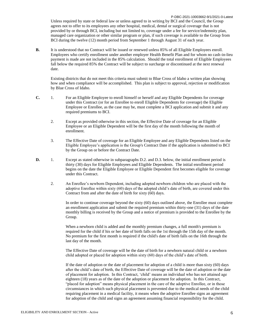P-DBC-2021-10003662-9/1/2021-0-Latest Unless required by state or federal law or unless agreed to in writing by BCI and the Council, the Group agrees not to offer to its employees any other hospital, medical, dental or surgical coverage that is not provided by or through BCI, including but not limited to, coverage under a fee for service/indemnity plan, managed care organization or other similar program or plan, if such coverage is available to the Group from BCI during the twelve (12) month period from September 1 through August 31 of each year.

**B.** It is understood that no Contract will be issued or renewed unless 85% of all Eligible Employees enroll. Employees who certify enrollment under another employer Health Benefit Plan and for whom no cash-in-lieu payment is made are not included in the 85% calculation. Should the total enrollment of Eligible Employees fall below the required 85% the Contract will be subject to surcharge or discontinued at the next renewal date.

Existing districts that do not meet this criteria must submit to Blue Cross of Idaho a written plan showing how and when compliance will be accomplished. This plan is subject to approval, rejection or modification by Blue Cross of Idaho.

- **C.** 1. For an Eligible Employee to enroll himself or herself and any Eligible Dependents for coverage under this Contract (or for an Enrollee to enroll Eligible Dependents for coverage) the Eligible Employee or Enrollee, as the case may be, must complete a BCI application and submit it and any required premiums to BCI.
	- 2. Except as provided otherwise in this section, the Effective Date of coverage for an Eligible Employee or an Eligible Dependent will be the first day of the month following the month of enrollment.
	- 3. The Effective Date of coverage for an Eligible Employee and any Eligible Dependents listed on the Eligible Employee's application is the Group's Contract Date if the application is submitted to BCI by the Group on or before the Contract Date.
- **D.** 1. Except as stated otherwise in subparagraphs D.2. and D.3. below, the initial enrollment period is thirty (30) days for Eligible Employees and Eligible Dependents. The initial enrollment period begins on the date the Eligible Employee or Eligible Dependent first becomes eligible for coverage under this Contract.
	- 2. An Enrollee's newborn Dependent, including adopted newborn children who are placed with the adoptive Enrollee within sixty (60) days of the adopted child's date of birth, are covered under this Contract from and after the date of birth for sixty (60) days.

In order to continue coverage beyond the sixty (60) days outlined above, the Enrollee must complete an enrollment application and submit the required premium within thirty-one (31) days of the date monthly billing is received by the Group and a notice of premium is provided to the Enrollee by the Group.

When a newborn child is added and the monthly premium changes, a full month's premium is required for the child if his or her date of birth falls on the 1st through the 15th day of the month. No premium for the first month is required if the child's date of birth falls on the 16th through the last day of the month.

The Effective Date of coverage will be the date of birth for a newborn natural child or a newborn child adopted or placed for adoption within sixty (60) days of the child's date of birth.

If the date of adoption or the date of placement for adoption of a child is more than sixty (60) days after the child's date of birth, the Effective Date of coverage will be the date of adoption or the date of placement for adoption. In this Contract, ‗child' means an individual who has not attained age eighteen (18) years as of the date of the adoption or placement for adoption. In this Contract, "placed for adoption" means physical placement in the care of the adoptive Enrollee, or in those circumstances in which such physical placement is prevented due to the medical needs of the child requiring placement in a medical facility, it means when the adoptive Enrollee signs an agreement for adoption of the child and signs an agreement assuming financial responsibility for the child.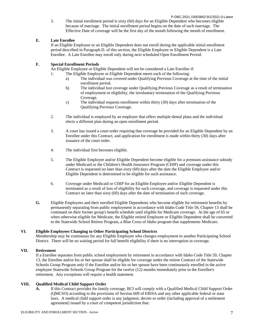P-DBC-2021-10003662-9/1/2021-0-Latest

3. The initial enrollment period is sixty (60) days for an Eligible Dependent who becomes eligible because of marriage. The initial enrollment period begins on the date of such marriage. The Effective Date of coverage will be the first day of the month following the month of enrollment.

#### **E. Late Enrollee**

If an Eligible Employee or an Eligible Dependent does not enroll during the applicable initial enrollment period described in Paragraph D. of this section, the Eligible Employee or Eligible Dependent is a Late Enrollee. A Late Enrollee may enroll only during next scheduled Open Enrollment Period.

## **F. Special Enrollment Periods**

An Eligible Employee or Eligible Dependent will not be considered a Late Enrollee if:

- 1. The Eligible Employee or Eligible Dependent meets each of the following:
	- a) The individual was covered under Qualifying Previous Coverage at the time of the initial enrollment period.
	- b) The individual lost coverage under Qualifying Previous Coverage as a result of termination of employment or eligibility, the involuntary termination of the Qualifying Previous Coverage.
	- c) The individual requests enrollment within thirty (30) days after termination of the Qualifying Previous Coverage.
- 2. The individual is employed by an employer that offers multiple dental plans and the individual elects a different plan during an open enrollment period.
- 3. A court has issued a court order requiring that coverage be provided for an Eligible Dependent by an Enrollee under this Contract, and application for enrollment is made within thirty (30) days after issuance of the court order.
- 4. The individual first becomes eligible.
- 5. The Eligible Employee and/or Eligible Dependent become eligible for a premium assistance subsidy under Medicaid or the Children's Health Insurance Program (CHIP) and coverage under this Contract is requested no later than sixty (60) days after the date the Eligible Employee and/or Eligible Dependent is determined to be eligible for such assistance.
- 6. Coverage under Medicaid or CHIP for an Eligible Employee and/or Eligible Dependent is terminated as a result of loss of eligibility for such coverage, and coverage is requested under this Contract no later than sixty (60) days after the date of termination of such coverage.
- **G.** Eligible Employees and their enrolled Eligible Dependents who become eligible for retirement benefits by permanently separating from public employment in accordance with Idaho Code Title 59, Chapter 13 shall be continued on their former group's benefit schedule until eligible for Medicare coverage. At the age of 65 or when otherwise eligible for Medicare, the Eligible retired Employee or Eligible Dependent shall be converted to the Statewide School Retiree Program, a Blue Cross of Idaho program that supplements Medicare.

#### **VI. Eligible Employees Changing to Other Participating School Districts**

Membership may be continuous for any Eligible Employee who changes employment to another Participating School District. There will be no waiting period for full benefit eligibility if there is no interruption in coverage.

# **VII. Retirement**

If a Enrollee separates from public school employment by retirement in accordance with Idaho Code Title 59, Chapter 13, the Enrollee and/or his or her spouse shall be eligible for coverage under the retiree Contract of the Statewide Schools Group Program only if the Enrollee and/or his or her spouse have been continuously enrolled in the active employee Statewide Schools Group Program for the twelve (12) months immediately prior to the Enrollee's retirement. Any exceptions will require a health statement.

#### **VIII. Qualified Medical Child Support Order**

**A.** If this Contract provides for family coverage, BCI will comply with a Qualified Medical Child Support Order (QMCSO) according to the provisions of Section 609 of ERISA and any other applicable federal or state laws. A medical child support order is any judgment, decree or order (including approval of a settlement agreement) issued by a court of competent jurisdiction that: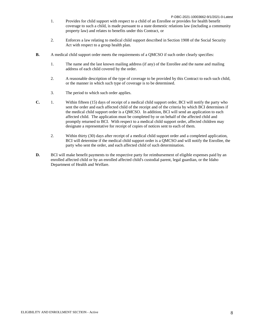- 1. Provides for child support with respect to a child of an Enrollee or provides for health benefit coverage to such a child, is made pursuant to a state domestic relations law (including a community property law) and relates to benefits under this Contract, or
- 2. Enforces a law relating to medical child support described in Section 1908 of the Social Security Act with respect to a group health plan.
- **B.** A medical child support order meets the requirements of a QMCSO if such order clearly specifies:
	- 1. The name and the last known mailing address (if any) of the Enrollee and the name and mailing address of each child covered by the order.
	- 2. A reasonable description of the type of coverage to be provided by this Contract to each such child, or the manner in which such type of coverage is to be determined.
	- 3. The period to which such order applies.
- **C.** 1. Within fifteen (15) days of receipt of a medical child support order, BCI will notify the party who sent the order and each affected child of the receipt and of the criteria by which BCI determines if the medical child support order is a QMCSO. In addition, BCI will send an application to each affected child. The application must be completed by or on behalf of the affected child and promptly returned to BCI. With respect to a medical child support order, affected children may designate a representative for receipt of copies of notices sent to each of them.
	- 2. Within thirty (30) days after receipt of a medical child support order and a completed application, BCI will determine if the medical child support order is a QMCSO and will notify the Enrollee, the party who sent the order, and each affected child of such determination.
- **D.** BCI will make benefit payments to the respective party for reimbursement of eligible expenses paid by an enrolled affected child or by an enrolled affected child's custodial parent, legal guardian, or the Idaho Department of Health and Welfare.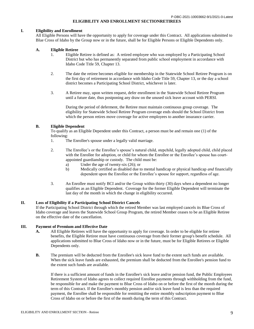#### **ELIGIBILITY AND ENROLLMENT SECTIONRETIREES**

#### **I. Eligibility and Enrollment**

All Eligible Persons will have the opportunity to apply for coverage under this Contract. All applications submitted to Blue Cross of Idaho by the Group now or in the future, shall be for Eligible Persons or Eligible Dependents only.

#### **A. Eligible Retiree**

- 1. Eligible Retiree is defined as: A retired employee who was employed by a Participating School District but who has permanently separated from public school employment in accordance with Idaho Code Title 59, Chapter 13.
- 2. The date the retiree becomes eligible for membership in the Statewide School Retiree Program is on the first day of retirement in accordance with Idaho Code Title 59, Chapter 13, or the day a school district becomes a Participating School District, whichever is later.
- 3. A Retiree may, upon written request, defer enrollment in the Statewide School Retiree Program until a future date, thus postponing any draw on the unused sick leave account with PERSI.

During the period of deferment, the Retiree must maintain continuous group coverage. The eligibility for Statewide School Retiree Program coverage ends should the School District from which the person retires move coverage for active employees to another insurance carrier.

#### **B. Eligible Dependent**

To qualify as an Eligible Dependent under this Contract, a person must be and remain one (1) of the following:

- 1. The Enrollee's spouse under a legally valid marriage.
- 2. The Enrollee's or the Enrollee's spouse's natural child, stepchild, legally adopted child, child placed with the Enrollee for adoption, or child for whom the Enrollee or the Enrollee's spouse has courtappointed guardianship or custody. The child must be:
	- a) Under the age of twenty-six (26); or
	- b) Medically certified as disabled due to mental handicap or physical handicap *and* financially dependent upon the Enrollee or the Enrollee's spouse for support, regardless of age.
- 3. An Enrollee must notify BCI and/or the Group within thirty (30) days when a dependent no longer qualifies as an Eligible Dependent. Coverage for the former Eligible Dependent will terminate the last day of the month in which the change in eligibility occurred.

#### **II. Loss of Eligibility if a Participating School District Cancels**

If the Participating School District through which the retired Member was last employed cancels its Blue Cross of Idaho coverage and leaves the Statewide School Group Program, the retired Member ceases to be an Eligible Retiree on the effective date of the cancellation.

#### **III. Payment of Premium and Effective Date**

- **A.** All Eligible Retirees will have the opportunity to apply for coverage. In order to be eligible for retiree benefits, the Eligible Retiree must have continuous coverage from their former group's benefit schedule. All applications submitted to Blue Cross of Idaho now or in the future, must be for Eligible Retirees or Eligible Dependents only.
- **B.** The premium will be deducted from the Enrollee's sick leave fund to the extent such funds are available. When the sick leave funds are exhausted, the premium shall be deducted from the Enrollee's pension fund to the extent such funds are available.

If there is a sufficient amount of funds in the Enrollee's sick leave and/or pension fund, the Public Employees Retirement System of Idaho agrees to collect required Enrollee payments through withholding from the fund, be responsible for and make the payment to Blue Cross of Idaho on or before the first of the month during the term of this Contract. If the Enrollee's monthly pension and/or sick leave fund is less than the required payment, the Enrollee shall be responsible for remitting the entire monthly subscription payment to Blue Cross of Idaho on or before the first of the month during the term of this Contract.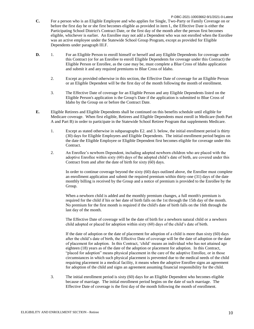- P-DBC-2021-10003662-9/1/2021-0-Latest **C.** For a person who is an Eligible Employee and who applies for Single, Two-Party or Family Coverage on or before the first day he or she first becomes eligible as provided in item I., the Effective Date is either the Participating School District's Contract Date, or the first day of the month after the person first becomes eligible, whichever is earlier. An Enrollee may not add a Dependent who was not enrolled when the Enrollee was an active employee under the Statewide School Group Program, except as provided for Eligible Dependents under paragraph III.F.
- **D.** 1. For an Eligible Person to enroll himself or herself and any Eligible Dependents for coverage under this Contract (or for an Enrollee to enroll Eligible Dependents for coverage under this Contract) the Eligible Person or Enrollee, as the case may be, must complete a Blue Cross of Idaho application and submit it and any required premiums to Blue Cross of Idaho.
	- 2. Except as provided otherwise in this section, the Effective Date of coverage for an Eligible Person or an Eligible Dependent will be the first day of the month following the month of enrollment.
	- 3. The Effective Date of coverage for an Eligible Person and any Eligible Dependents listed on the Eligible Person's application is the Group's Date if the application is submitted to Blue Cross of Idaho by the Group on or before the Contract Date.
- **E.** Eligible Retirees and Eligible Dependents shall be continued on this benefits schedule until eligible for Medicare coverage. When first eligible, Retirees and Eligible Dependents must enroll in Medicare (both Part A and Part B) in order to participate in the Statewide School Retiree Program that supplements Medicare.
	- 1. Except as stated otherwise in subparagraphs E2. and 3. below, the initial enrollment period is thirty (30) days for Eligible Employees and Eligible Dependents. The initial enrollment period begins on the date the Eligible Employee or Eligible Dependent first becomes eligible for coverage under this Contract.
	- 2. An Enrollee's newborn Dependent, including adopted newborn children who are placed with the adoptive Enrollee within sixty (60) days of the adopted child's date of birth, are covered under this Contract from and after the date of birth for sixty (60) days.

In order to continue coverage beyond the sixty (60) days outlined above, the Enrollee must complete an enrollment application and submit the required premium within thirty-one (31) days of the date monthly billing is received by the Group and a notice of premium is provided to the Enrollee by the Group.

When a newborn child is added and the monthly premium changes, a full month's premium is required for the child if his or her date of birth falls on the 1st through the 15th day of the month. No premium for the first month is required if the child's date of birth falls on the 16th through the last day of the month.

The Effective Date of coverage will be the date of birth for a newborn natural child or a newborn child adopted or placed for adoption within sixty (60) days of the child's date of birth.

If the date of adoption or the date of placement for adoption of a child is more than sixty (60) days after the child's date of birth, the Effective Date of coverage will be the date of adoption or the date of placement for adoption. In this Contract, ‗child' means an individual who has not attained age eighteen (18) years as of the date of the adoption or placement for adoption. In this Contract, "placed for adoption" means physical placement in the care of the adoptive Enrollee, or in those circumstances in which such physical placement is prevented due to the medical needs of the child requiring placement in a medical facility, it means when the adoptive Enrollee signs an agreement for adoption of the child and signs an agreement assuming financial responsibility for the child.

3. The initial enrollment period is sixty (60) days for an Eligible Dependent who becomes eligible because of marriage. The initial enrollment period begins on the date of such marriage. The Effective Date of coverage is the first day of the month following the month of enrollment.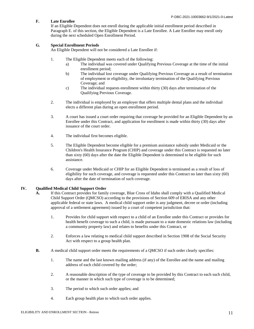### **F. Late Enrollee**

If an Eligible Dependent does not enroll during the applicable initial enrollment period described in Paragraph E. of this section, the Eligible Dependent is a Late Enrollee. A Late Enrollee may enroll only during the next scheduled Open Enrollment Period.

#### **G. Special Enrollment Periods**

An Eligible Dependent will not be considered a Late Enrollee if:

- 1. The Eligible Dependent meets each of the following:
	- a) The individual was covered under Qualifying Previous Coverage at the time of the initial enrollment period;
	- b) The individual lost coverage under Qualifying Previous Coverage as a result of termination of employment or eligibility, the involuntary termination of the Qualifying Previous Coverage; and
	- c) The individual requests enrollment within thirty (30) days after termination of the Qualifying Previous Coverage.
- 2. The individual is employed by an employer that offers multiple dental plans and the individual elects a different plan during an open enrollment period.
- 3. A court has issued a court order requiring that coverage be provided for an Eligible Dependent by an Enrollee under this Contract, and application for enrollment is made within thirty (30) days after issuance of the court order.
- 4. The individual first becomes eligible.
- 5. The Eligible Dependent become eligible for a premium assistance subsidy under Medicaid or the Children's Health Insurance Program (CHIP) and coverage under this Contract is requested no later than sixty (60) days after the date the Eligible Dependent is determined to be eligible for such assistance.
- 6. Coverage under Medicaid or CHIP for an Eligible Dependent is terminated as a result of loss of eligibility for such coverage, and coverage is requested under this Contract no later than sixty (60) days after the date of termination of such coverage.

# **IV. Qualified Medical Child Support Order**

- **A.** If this Contract provides for family coverage, Blue Cross of Idaho shall comply with a Qualified Medical Child Support Order (QMCSO) according to the provisions of Section 609 of ERISA and any other applicable federal or state laws. A medical child support order is any judgment, decree or order (including approval of a settlement agreement) issued by a court of competent jurisdiction that:
	- 1. Provides for child support with respect to a child of an Enrollee under this Contract or provides for health benefit coverage to such a child, is made pursuant to a state domestic relations law (including a community property law) and relates to benefits under this Contract, or
	- 2. Enforces a law relating to medical child support described in Section 1908 of the Social Security Act with respect to a group health plan.
- **B.** A medical child support order meets the requirements of a QMCSO if such order clearly specifies:
	- 1. The name and the last known mailing address (if any) of the Enrollee and the name and mailing address of each child covered by the order;
	- 2. A reasonable description of the type of coverage to be provided by this Contract to each such child, or the manner in which such type of coverage is to be determined;
	- 3. The period to which such order applies; and
	- 4. Each group health plan to which such order applies.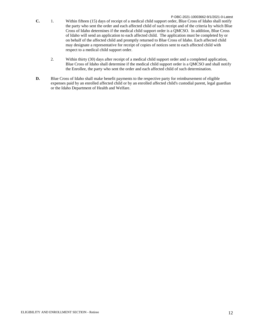- P-DBC-2021-10003662-9/1/2021-0-Latest **C.** 1. Within fifteen (15) days of receipt of a medical child support order, Blue Cross of Idaho shall notify the party who sent the order and each affected child of such receipt and of the criteria by which Blue Cross of Idaho determines if the medical child support order is a QMCSO. In addition, Blue Cross of Idaho will send an application to each affected child. The application must be completed by or on behalf of the affected child and promptly returned to Blue Cross of Idaho. Each affected child may designate a representative for receipt of copies of notices sent to each affected child with respect to a medical child support order.
	- 2. Within thirty (30) days after receipt of a medical child support order and a completed application, Blue Cross of Idaho shall determine if the medical child support order is a QMCSO and shall notify the Enrollee, the party who sent the order and each affected child of such determination.
- **D.** Blue Cross of Idaho shall make benefit payments to the respective party for reimbursement of eligible expenses paid by an enrolled affected child or by an enrolled affected child's custodial parent, legal guardian or the Idaho Department of Health and Welfare.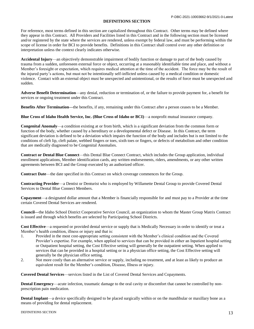#### **DEFINITIONS SECTION**

For reference, most terms defined in this section are capitalized throughout this Contract. Other terms may be defined where they appear in this Contract. All Providers and Facilities listed in this Contract and in the following section must be licensed and/or registered by the state where the services are rendered, unless exempt by federal law, and must be performing within the scope of license in order for BCI to provide benefits. Definitions in this Contract shall control over any other definition or interpretation unless the context clearly indicates otherwise.

**Accidental Injury**—an objectively demonstrable impairment of bodily function or damage to part of the body caused by trauma from a sudden, unforeseen external force or object, occurring at a reasonably identifiable time and place, and without a Member's foresight or expectation, which requires medical attention at the time of the accident. The force may be the result of the injured party's actions, but must not be intentionally self-inflicted unless caused by a medical condition or domestic violence. Contact with an external object must be unexpected and unintentional, or the results of force must be unexpected and sudden.

**Adverse Benefit Determination**—any denial, reduction or termination of, or the failure to provide payment for, a benefit for services or ongoing treatment under this Contract.

**Benefits After Termination—**the benefits, if any, remaining under this Contract after a person ceases to be a Member.

**Blue Cross of Idaho Health Service, Inc. (Blue Cross of Idaho or BCI)**—a nonprofit mutual insurance company.

**Congenital Anomaly**—a condition existing at or from birth, which is a significant deviation from the common form or function of the body, whether caused by a hereditary or a developmental defect or Disease. In this Contract, the term significant deviation is defined to be a deviation which impairs the function of the body and includes but is not limited to the conditions of cleft lip, cleft palate, webbed fingers or toes, sixth toes or fingers, or defects of metabolism and other condition that are medically diagnosed to be Congenital Anomalies.

**Contract or Dental Blue Connect**—this Dental Blue Connect Contract, which includes the Group application, individual enrollment applications, Member identification cards, any written endorsements, riders, amendments, or any other written agreements between BCI and the Group executed by an authorized officer.

**Contract Date**—the date specified in this Contract on which coverage commences for the Group.

**Contracting Provider**—a Dentist or Denturist who is employed by Willamette Dental Group to provide Covered Dental Services to Dental Blue Connect Members.

**Copayment**—a designated dollar amount that a Member is financially responsible for and must pay to a Provider at the time certain Covered Dental Services are rendered.

**Council—**the Idaho School District Cooperative Service Council, an organization to whom the Master Group Matrix Contract is issued and through which benefits are selected by Participating School Districts.

**Cost Effective**—a requested or provided dental service or supply that is Medically Necessary in order to identify or treat a Member's health condition, illness or injury and that is:

- 1. Provided in the most cost-appropriate setting consistent with the Member's clinical condition and the Covered Provider's expertise. For example, when applied to services that can be provided in either an Inpatient hospital setting or Outpatient hospital setting, the Cost Effective setting will generally be the outpatient setting. When applied to services that can be provided in a hospital setting or in a physician office setting, the Cost Effective setting will generally be the physician office setting.
- 2. Not more costly than an alternative service or supply, including no treatment, and at least as likely to produce an equivalent result for the Member's condition, Disease, Illness or injury.

**Covered Dental Services**—services listed in the List of Covered Dental Services and Copayments.

**Dental Emergency—acute infection, traumatic damage to the oral cavity or discomfort that cannot be controlled by non**prescription pain medication.

**Dental Implant**—a device specifically designed to be placed surgically within or on the mandibular or maxillary bone as a means of providing for dental replacement.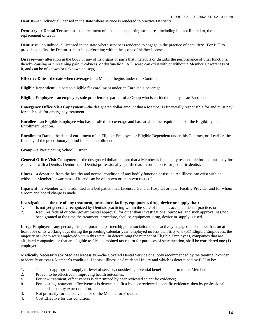**Dentist**—an individual licensed in the state where service is rendered to practice Dentistry.

**Dentistry or Dental Treatment**—the treatment of teeth and supporting structures, including but not limited to, the replacement of teeth.

**Denturist**—an individual licensed in the state where service is rendered to engage in the practice of denturitry. For BCI to provide benefits, the Denturist must be performing within the scope of his/her license.

**Disease**—any alteration in the body or any of its organs or parts that interrupts or disturbs the performance of vital functions, thereby causing or threatening pain, weakness, or dysfunction. A Disease can exist with or without a Member's awareness of it, and can be of known or unknown cause(s).

**Effective Date**—the date when coverage for a Member begins under this Contract.

**Eligible Dependent**—a person eligible for enrollment under an Enrollee's coverage.

**Eligible Employee**—an employee, sole proprietor or partner of a Group who is entitled to apply as an Enrollee.

**Emergency Office Visit Copayment**—the designated dollar amount that a Member is financially responsible for and must pay for each visit for emergency treatment.

**Enrollee**—an Eligible Employee who has enrolled for coverage and has satisfied the requirements of the Eligibility and Enrollment Section.

**Enrollment Date**—the date of enrollment of an Eligible Employee or Eligible Dependent under this Contract, or if earlier, the first day of the probationary period for such enrollment.

**Group**—a Participating School District.

**General Office Visit Copayment**—the designated dollar amount that a Member is financially responsible for and must pay for each visit with a Dentist, Denturist, or Dentist professionally qualified as an orthodontist or pediatric dentist.

**Illness**—a deviation from the healthy and normal condition of any bodily function or tissue. An Illness can exist with or without a Member's awareness of it, and can be of known or unknown cause(s).

**Inpatient**—a Member who is admitted as a bed patient in a Licensed General Hospital or other Facility Provider and for whom a room and board charge is made.

#### Investigational**—the use of any treatment, procedure, facility, equipment, drug, device or supply that:**

1. Is not yet generally recognized by Dentists practicing within the state of Idaho as accepted dental practice, or

2. Requires federal or other governmental approval, for other than Investigational purposes, and such approval has not been granted at the time the treatment, procedure, facility, equipment, drug, device or supply is used.

**Large Employer—**any person, firm, corporation, partnership, or association that is actively engaged in business that, on at least 50% of its working days during the preceding calendar year, employed no less than fifty-one (51) Eligible Employees, the majority of whom were employed within this state. In determining the number of Eligible Employees, companies that are affiliated companies, or that are eligible to file a combined tax return for purposes of state taxation, shall be considered one (1) employer.

**Medically Necessary (or Medical Necessity)—**the Covered Dental Service or supply recommended by the treating Provider to identify or treat a Member's condition, Disease, Illness or Accidental Injury and which is determined by BCI to be:

- 1. The most appropriate supply or level of service, considering potential benefit and harm to the Member.
- 2. Proven to be effective in improving health outcomes;
- a. For new treatment, effectiveness is determined by peer reviewed scientific evidence;
- b. For existing treatment, effectiveness is determined first by peer reviewed scientific evidence, then by professional standards, then by expert opinion.
- 3. Not primarily for the convenience of the Member or Provider.
- 4. Cost Effective for this condition.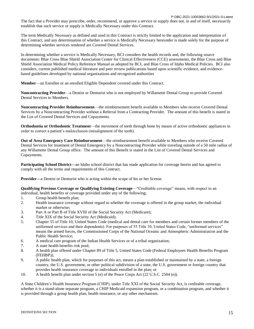The fact that a Provider may prescribe, order, recommend, or approve a service or supply does not, in and of itself, necessarily establish that such service or supply is Medically Necessary under this Contract.

The term Medically Necessary as defined and used in this Contract is strictly limited to the application and interpretation of this Contract, and any determination of whether a service is Medically Necessary hereunder is made solely for the purpose of determining whether services rendered are Covered Dental Services.

In determining whether a service is Medically Necessary, BCI considers the health records and, the following source documents: Blue Cross Blue Shield Association Center for Clinical Effectiveness (CCE) assessments, the Blue Cross and Blue Shield Association Medical Policy Reference Manual as adopted by BCI, and Blue Cross of Idaho Medical Policies. BCI also considers, current published medical literature and peer review publications based upon scientific evidence, and evidencebased guidelines developed by national organizations and recognized authorities

**Member**—an Enrollee or an enrolled Eligible Dependent covered under this Contract.

**Noncontracting Provider**—a Dentist or Denturist who is not employed by Willamette Dental Group to provide Covered Dental Services to Members.

**Noncontracting Provider Reimbursement**—the reimbursement benefit available to Members who receive Covered Dental Services by a Noncontracting Provider without a Referral from a Contracting Provider. The amount of this benefit is stated in the List of Covered Dental Services and Copayments.

**Orthodontia or Orthodontic Treatment**—the movement of teeth through bone by means of active orthodontic appliances in order to correct a patient's malocclusion (misalignment of the teeth).

**Out of Area Emergency Care Reimbursement**—the reimbursement benefit available to Members who receive Covered Dental Services for treatment of Dental Emergency by a Noncontracting Provider while traveling outside of a 50 mile radius of any Willamette Dental Group office. The amount of this Benefit is stated in the List of Covered Dental Services and Copayments.

**Participating School District—**an Idaho school district that has made application for coverage herein and has agreed to comply with all the terms and requirements of this Contract.

**Provider—**a Dentist or Denturist who is acting within the scope of his or her license.

**Qualifying Previous Coverage or Qualifying Existing Coverage—
"Creditable coverage" means, with respect to an** individual, health benefits or coverage provided under any of the following;

- 1. Group health benefit plan;
- 2. Health insurance coverage without regard to whether the coverage is offered in the group market, the individual market or otherwise;
- 3. Part A or Part B of Title XVIII of the Social Security Act (Medicare);
- 4. Title XIX of the Social Security Act (Medicaid);
- 5. Chapter 55 of Title 10, United States Code (medical and dental care for members and certain former members of the uniformed services and their dependents). For purposes of 55 Title 10, United States Code, "uniformed services" means the armed forces, the Commissioned Corps of the National Oceanic and Atmospheric Administration and the Public Health Service;
- 6. A medical care program of the Indian Health Services or of a tribal organization;
- 7. A state health benefits risk pool;
- 8. A health plan offered under Chapter 89 of Title 5, United States Code (Federal Employees Health Benefits Program (FEHBP));
- 9. A public health plan, which for purposes of this act, means a plan established or maintained by a state, a foreign country, the U.S. government, or other political subdivision of a state, the U.S. government or foreign country that provides health insurance coverage to individuals enrolled in the plan; or
- 10. A health benefit plan under section 5 (e) of the Peace Corps Act (22 U.S.C. 2504 (e)).

A State Children's Health Insurance Program (CHIP), under Title XXI of the Social Security Act, is creditable coverage, whether it is a stand-alone separate program, a CHIP Medicaid expansion program, or a combination program, and whether it is provided through a group health plan, health insurance, or any other mechanism.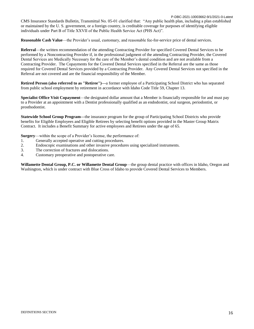P-DBC-2021-10003662-9/1/2021-0-Latest CMS Insurance Standards Bulletin, Transmittal No. 05-01 clarified that: "Any public health plan, including a plan established or maintained by the U. S. government, or a foreign country, is creditable coverage for purposes of identifying eligible individuals under Part B of Title XXVII of the Public Health Service Act (PHS Act)".

**Reasonable Cash Value**—the Provider's usual, customary, and reasonable fee-for-service price of dental services.

**Referral**—the written recommendation of the attending Contracting Provider for specified Covered Dental Services to be performed by a Noncontracting Provider if, in the professional judgment of the attending Contracting Provider, the Covered Dental Services are Medically Necessary for the care of the Member's dental condition and are not available from a Contracting Provider. The Copayments for the Covered Dental Services specified in the Referral are the same as those required for Covered Dental Services provided by a Contracting Provider. Any Covered Dental Services not specified in the Referral are not covered and are the financial responsibility of the Member.

**Retired Person (also referred to as "Retiree")—**a former employee of a Participating School District who has separated from public school employment by retirement in accordance with Idaho Code Title 59, Chapter 13.

**Specialist Office Visit Copayment**—the designated dollar amount that a Member is financially responsible for and must pay to a Provider at an appointment with a Dentist professionally qualified as an endodontist, oral surgeon, periodontist, or prosthodontist.

**Statewide School Group Program—**the insurance program for the group of Participating School Districts who provide benefits for Eligible Employees and Eligible Retirees by selecting benefit options provided in the Master Group Matrix Contract. It includes a Benefit Summary for active employees and Retirees under the age of 65.

**Surgery**—within the scope of a Provider's license, the performance of:

- 1. Generally accepted operative and cutting procedures.
- 2. Endoscopic examinations and other invasive procedures using specialized instruments.
- 3. The correction of fractures and dislocations.
- 4. Customary preoperative and postoperative care.

**Willamette Dental Group, P.C. or Willamette Dental Group**—the group dental practice with offices in Idaho, Oregon and Washington, which is under contract with Blue Cross of Idaho to provide Covered Dental Services to Members.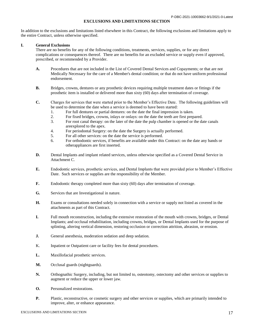#### **EXCLUSIONS AND LIMITATIONS SECTION**

In addition to the exclusions and limitations listed elsewhere in this Contract, the following exclusions and limitations apply to the entire Contract, unless otherwise specified.

#### **I. General Exclusions**

There are no benefits for any of the following conditions, treatments, services, supplies, or for any direct complications or consequences thereof. There are no benefits for an excluded service or supply even if approved, prescribed, or recommended by a Provider.

- **A.** Procedures that are not included in the List of Covered Dental Services and Copayments; or that are not Medically Necessary for the care of a Member's dental condition; or that do not have uniform professional endorsement.
- **B.** Bridges, crowns, dentures or any prosthetic devices requiring multiple treatment dates or fittings if the prosthetic item is installed or delivered more than sixty (60) days after termination of coverage.
- **C.** Charges for services that were started prior to the Member's Effective Date. The following guidelines will be used to determine the date when a service is deemed to have been started:
	- 1. For full dentures or partial dentures: on the date the final impression is taken.
	- 2. For fixed bridges, crowns, inlays or onlays: on the date the teeth are first prepared.
	- 3. For root canal therapy: on the later of the date the pulp chamber is opened or the date canals areexplored to the apex.
	- 4. For periodontal Surgery: on the date the Surgery is actually performed.
	- 5. For all other services: on the date the service is performed.
	- 6. For orthodontic services, if benefits are available under this Contract: on the date any bands or otherappliances are first inserted.
- **D.** Dental Implants and implant related services, unless otherwise specified as a Covered Dental Service in Attachment C.
- **E.** Endodontic services, prosthetic services, and Dental Implants that were provided prior to Member's Effective Date. Such services or supplies are the responsibility of the Member.
- **F.** Endodontic therapy completed more than sixty (60) days after termination of coverage.
- **G.** Services that are Investigational in nature.
- **H.** Exams or consultations needed solely in connection with a service or supply not listed as covered in the attachments as part of this Contract.
- **I.** Full mouth reconstruction, including the extensive restoration of the mouth with crowns, bridges, or Dental Implants; and occlusal rehabilitation, including crowns, bridges, or Dental Implants used for the purpose of splinting, altering vertical dimension, restoring occlusion or correction attrition, abrasion, or erosion.
- **J.** General anesthesia, moderation sedation and deep sedation.
- K. Inpatient or Outpatient care or facility fees for dental procedures.
- **L.** Maxillofacial prosthetic services.
- **M.** Occlusal guards (nightguards).
- **N.** Orthognathic Surgery, including, but not limited to, osteotomy, ostectomy and other services or supplies to augment or reduce the upper or lower jaw.
- **O.** Personalized restorations.
- **P.** Plastic, reconstructive, or cosmetic surgery and other services or supplies, which are primarily intended to improve, alter, or enhance appearance.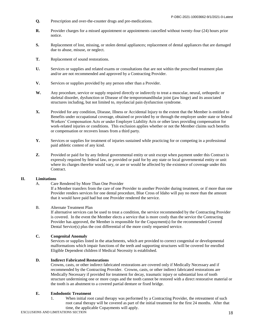- **Q.** Prescription and over-the-counter drugs and pre-medications.
- **R.** Provider charges for a missed appointment or appointments cancelled without twenty-four (24) hours prior notice.
- **S.** Replacement of lost, missing, or stolen dental appliances; replacement of dental appliances that are damaged due to abuse, misuse, or neglect.
- **T.** Replacement of sound restorations.
- **U.** Services or supplies and related exams or consultations that are not within the prescribed treatment plan and/or are not recommended and approved by a Contracting Provider.
- **V.** Services or supplies provided by any person other than a Provider.
- **W.** Any procedure, service or supply required directly or indirectly to treat a muscular, neural, orthopedic or skeletal disorder, dysfunction or Disease of the temporomandibular joint (jaw hinge) and its associated structures including, but not limited to, myofascial pain dysfunction syndrome.
- **X.** Provided for any condition, Disease, Illness or Accidental Injury to the extent that the Member is entitled to Benefits under occupational coverage, obtained or provided by or through the employer under state or federal Workers' Compensation Acts or under Employer Liability Acts or other laws providing compensation for work-related injuries or conditions. This exclusion applies whether or not the Member claims such benefits or compensation or recovers losses from a third party.
- **Y.** Services or supplies for treatment of injuries sustained while practicing for or competing in a professional paid athletic contest of any kind.
- **Z.** Provided or paid for by any federal governmental entity or unit except when payment under this Contract is expressly required by federal law, or provided or paid for by any state or local governmental entity or unit where its charges therefor would vary, or are or would be affected by the existence of coverage under this Contract.

#### **II. Limitations**

A. Care Rendered by More Than One Provider

If a Member transfers from the care of one Provider to another Provider during treatment, or if more than one Provider renders services for one dental procedure, Blue Cross of Idaho will pay no more than the amount that it would have paid had but one Provider rendered the service.

#### B. Alternate Treatment Plan

If alternative services can be used to treat a condition, the service recommended by the Contracting Provider is covered. In the event the Member elects a service that is more costly than the service the Contracting Provider has approved, the Member is responsible for the Copayment(s) for the recommended Covered Dental Service(s) plus the cost differential of the more costly requested service.

#### **C. Congenital Anomaly**

Services or supplies listed in the attachments, which are provided to correct congenital or developmental malformations which impair functions of the teeth and supporting structures will be covered for enrolled Eligible Dependent children if Medical Necessity is established.

#### **D. Indirect Fabricated Restorations**

Crowns, casts, or other indirect fabricated restorations are covered only if Medically Necessary and if recommended by the Contracting Provider. Crowns, casts, or other indirect fabricated restorations are Medically Necessary if provided for treatment for decay, traumatic injury or substantial loss of tooth structure undermining one or more cusps and the tooth cannot be restored with a direct restorative material or the tooth is an abutment to a covered partial denture or fixed bridge.

# **E. Endodontic Treatment**

1. When initial root canal therapy was performed by a Contracting Provider, the retreatment of such root canal therapy will be covered as part of the initial treatment for the first 24 months. After that time, the applicable Copayments will apply.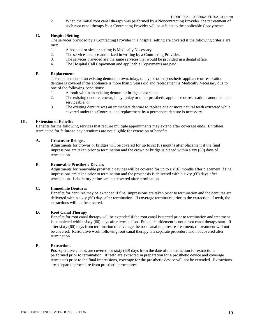P-DBC-2021-10003662-9/1/2021-0-Latest

2. When the initial root canal therapy was performed by a Noncontracting Provider, the retreatment of such root canal therapy by a Contracting Provider will be subject to the applicable Copayments.

#### **G. Hospital Setting**

The services provided by a Contracting Provider in a hospital setting are covered if the following criteria are met:

- 1. A hospital or similar setting is Medically Necessary.
- 2. The services are pre-authorized in writing by a Contracting Provider.
- 3. The services provided are the same services that would be provided in a dental office.
- 4. The Hospital Call Copayment and applicable Copayments are paid.

#### **F. Replacements**

The replacement of an existing denture, crown, inlay, onlay, or other prosthetic appliance or restoration denture is covered if the appliance is more than 5 years old and replacement is Medically Necessary due to one of the following conditions:

- 1. A tooth within an existing denture or bridge is extracted;
- 2. The existing denture, crown, inlay, onlay or other prosthetic appliance or restoration cannot be made serviceable; or
- 3. The existing denture was an immediate denture to replace one or more natural teeth extracted while covered under this Contract, and replacement by a permanent denture is necessary.

#### **III. Extension of Benefits**

Benefits for the following services that require multiple appointments may extend after coverage ends. Enrollees terminated for failure to pay premiums are not eligible for extension of benefits.

#### **A. Crowns or Bridges.**

Adjustments for crowns or bridges will be covered for up to six (6) months after placement if the final impressions are taken prior to termination and the crown or bridge is placed within sixty (60) days of termination.

#### **B. Removable Prosthetic Devices**

Adjustments for removable prosthetic devices will be covered for up to six (6) months after placement if final impressions are taken prior to termination and the prosthesis is delivered within sixty (60) days after termination. Laboratory relines are not covered after termination.

#### **C. Immediate Dentures**

Benefits for dentures may be extended if final impressions are taken prior to termination and the dentures are delivered within sixty (60) days after termination. If coverage terminates prior to the extraction of teeth, the extractions will not be covered.

#### **D. Root Canal Therapy**

Benefits for root canal therapy will be extended if the root canal is started prior to termination and treatment is completed within sixty (60) days after termination. Pulpal debridement is not a root canal therapy start. If after sixty (60) days from termination of coverage the root canal requires re-treatment, re-treatment will not be covered. Restorative work following root canal therapy is a separate procedure and not covered after termination.

#### **E. Extractions**

Post-operative checks are covered for sixty (60) days from the date of the extraction for extractions performed prior to termination. If teeth are extracted in preparation for a prosthetic device and coverage terminates prior to the final impressions, coverage for the prosthetic device will not be extended. Extractions are a separate procedure from prosthetic procedures.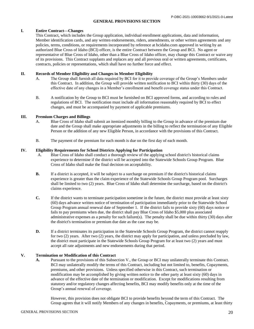#### **GENERAL PROVISIONS SECTION**

#### **I. Entire Contract—Changes**

This Contract, which includes the Group application, individual enrollment applications, data and information, Member identification cards, and any written endorsements, riders, amendments, or other written agreements and any policies, terms, conditions, or requirements incorporated by reference at bcidaho.com approved in writing by an authorized Blue Cross of Idaho (BCI) officer, is the entire Contract between the Group and BCI. No agent or representative of Blue Cross of Idaho, other than a Blue Cross of Idaho officer, may change this Contract or waive any of its provisions. This Contract supplants and replaces any and all previous oral or written agreements, certificates, contracts, policies or representations, which shall have no further force and effect.

#### **II. Records of Member Eligibility and Changes in Member Eligibility**

- A. The Group shall furnish all data required by BCI for it to provide coverage of the Group's Members under this Contract. In addition, the Group will provide written notification to BCI within thirty (30) days of the effective date of any changes in a Member's enrollment and benefit coverage status under this Contract.
- B. A notification by the Group to BCI must be furnished on BCI approved forms, and according to rules and regulations of BCI. The notification must include all information reasonably required by BCI to effect changes, and must be accompanied by payment of applicable premiums.

#### **III. Premium Charges and Billings**

- A. Blue Cross of Idaho shall submit an itemized monthly billing to the Group in advance of the premium due date and the Group shall make appropriate adjustments in the billing to reflect the termination of any Eligible Person or the addition of any new Eligible Person, in accordance with the provisions of this Contract.
- B. The payment of the premium for each month is due on the first day of each month.

#### **IV. Eligibility Requirements for School Districts Applying for Participation**

- A. Blue Cross of Idaho shall conduct a thorough review of the applying school district's historical claims experience to determine if the district will be accepted into the Statewide Schools Group Program. Blue Cross of Idaho shall make the final decision on acceptability.
- **B.** If a district is accepted, it will be subject to a surcharge on premium if the district's historical claims experience is greater than the claim experience of the Statewide Schools Group Program pool. Surcharges shall be limited to two (2) years. Blue Cross of Idaho shall determine the surcharge, based on the district's claims experience.
- **C.** If the district wants to terminate participation sometime in the future, the district must provide at least sixty (60) days advance written notice of termination of participation immediately prior to the Statewide School Group Program annual renewal date of September 1. If the district fails to provide sixty (60) days notice or fails to pay premiums when due, the district shall pay Blue Cross of Idaho \$5,000 plus associated administrative expenses as a penalty for such failure(s). The penalty shall be due within thirty (30) days after the district's termination or premium due date as the case may be.
- **D.** If a district terminates its participation in the Statewide Schools Group Program, the district cannot reapply for two (2) years. After two (2) years, the district may apply for participation, and unless precluded by law, the district must participate in the Statewide Schools Group Program for at least two (2) years and must accept all rate adjustments and new endorsements during that period.

#### **V. Termination or Modification of this Contract**

**A.** Pursuant to the provisions of this Subsection V., the Group or BCI may unilaterally terminate this Contract. BCI may unilaterally modify the terms of this Contract, including but not limited to, benefits, Copayments, premiums, and other provisions. Unless specified otherwise in this Contract, such termination or modification may be accomplished by giving written notice to the other party at least sixty (60) days in advance of the effective date of the termination or modification. Except for modifications resulting from statutory and/or regulatory changes affecting benefits, BCI may modify benefits only at the time of the Group's annual renewal of coverage.

However, this provision does not obligate BCI to provide benefits beyond the term of this Contract. The Group agrees that it will notify Members of any changes in benefits, Copayments, or premiums, at least thirty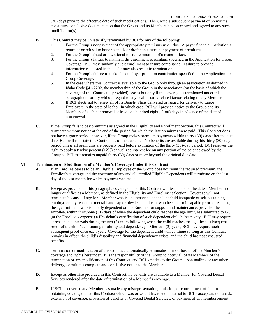(30) days prior to the effective date of such modifications. The Group's subsequent payment of premiums constitutes conclusive documentation that the Group and its Members have accepted and agreed to any such modification(s).

- **B.** This Contract may be unilaterally terminated by BCI for any of the following:
	- 1. For the Group's nonpayment of the appropriate premiums when due. A payer financial institution's return of or refusal to honor a check or draft constitutes nonpayment of premiums.
	- 2. For the Group's fraud or intentional misrepresentation of a material fact.
	- 3. For the Group's failure to maintain the enrollment percentage specified in the Application for Group Coverage. BCI may randomly audit enrollment to insure compliance. Failure to provide information requested in the audit may also result in termination.
	- 4. For the Group's failure to make the employer premium contribution specified in the Application for Group Coverage.
	- 5. In the case where this Contract is available to the Group only through an association as defined in Idaho Code §41-2202, the membership of the Group in the association (on the basis of which the coverage of this Contract is provided) ceases but only if the coverage is terminated under this paragraph uniformly without regard to any health status-related factor relating to any Member.
	- 6. If BCI elects not to renew all of its Benefit Plans delivered or issued for delivery to Large Employers in the state of Idaho. In which case, BCI will provide notice to the Group and its Members of such nonrenewal at least one hundred eighty (180) days in advance of the date of nonrenewal.
- **C.** If the Group fails to pay premiums as agreed in the Eligibility and Enrollment Section, this Contract will terminate without notice at the end of the period for which the last premiums were paid. This Contract does not have a grace period; however, if the Group makes premium payments within thirty (30) days after the due date, BCI will reinstate this Contract as of the due date. No benefits are available during this thirty (30)-day period unless all premiums are properly paid before expiration of the thirty (30)-day period. BCI reserves the right to apply a twelve percent (12%) annualized interest fee on any portion of the balance owed by the Group to BCI that remains unpaid thirty (30) days or more beyond the original due date.

#### **VI. Termination or Modification of a Member's Coverage Under this Contract**

- **A.** If an Enrollee ceases to be an Eligible Employee or the Group does not remit the required premium, the Enrollee's coverage and the coverage of any and all enrolled Eligible Dependents will terminate on the last day of the last month for which payment was made.
- **B.** Except as provided in this paragraph, coverage under this Contract will terminate on the date a Member no longer qualifies as a Member, as defined in the Eligibility and Enrollment Section. Coverage will not terminate because of age for a Member who is an unmarried dependent child incapable of self-sustaining employment by reason of mental handicap or physical handicap, who became so incapable prior to reaching the age limit, and who is chiefly dependent on the Enrollee for support and maintenance, provided the Enrollee, within thirty-one (31) days of when the dependent child reaches the age limit, has submitted to BCI (at the Enrollee's expense) a Physician's certification of such dependent child's incapacity. BCI may require, at reasonable intervals during the two (2) years following when the child reaches the age limit, subsequent proof of the child's continuing disability and dependency. After two (2) years, BCI may require such subsequent proof once each year. Coverage for the dependent child will continue so long as this Contract remains in effect, the child's disability and financial dependency exists, and the child has not exhausted benefits.
- **C.** Termination or modification of this Contract automatically terminates or modifies all of the Member's coverage and rights hereunder. It is the responsibility of the Group to notify all of its Members of the termination or any modification of this Contract, and BCI's notice to the Group, upon mailing or any other delivery, constitutes complete and conclusive notice to the Members.
- **D.** Except as otherwise provided in this Contract, no benefits are available to a Member for Covered Dental Services rendered after the date of termination of a Member's coverage.
- **E.** If BCI discovers that a Member has made any misrepresentation, omission, or concealment of fact in obtaining coverage under this Contract which was or would have been material to BCI's acceptance of a risk, extension of coverage, provision of benefits or Covered Dental Services, or payment of any reimbursement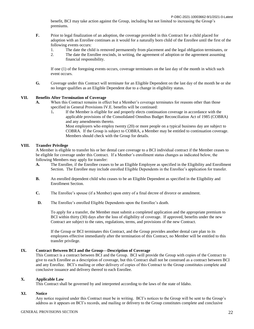benefit, BCI may take action against the Group, including but not limited to increasing the Group's premiums.

- **F.** Prior to legal finalization of an adoption, the coverage provided in this Contract for a child placed for adoption with an Enrollee continues as it would for a naturally born child of the Enrollee until the first of the following events occurs:
	- 1. The date the child is removed permanently from placement and the legal obligation terminates, or
	- 2. The date the Enrollee rescinds, in writing, the agreement of adoption or the agreement assuming financial responsibility.

If one (1) of the foregoing events occurs, coverage terminates on the last day of the month in which such event occurs.

**G.** Coverage under this Contract will terminate for an Eligible Dependent on the last day of the month he or she no longer qualifies as an Eligible Dependent due to a change in eligibility status.

#### **VII. Benefits After Termination of Coverage**

- **A.** When this Contract remains in effect but a Member's coverage terminates for reasons other than those specified in General Provisions IV.E. benefits will be continued:
	- 1**.** If the Member is eligible for and properly elects continuation coverage in accordance with the applicable provisions of the Consolidated Omnibus Budget Reconciliation Act of 1985 (COBRA) and any amendments thereto.

Most employers who employ twenty (20) or more people on a typical business day are subject to COBRA. If the Group is subject to COBRA, a Member may be entitled to continuation coverage. Members should check with the Group for details.

#### **VIII. Transfer Privilege**

A Member is eligible to transfer his or her dental care coverage to a BCI individual contract if the Member ceases to be eligible for coverage under this Contract. If a Member's enrollment status changes as indicated below, the following Members may apply for transfer:

- **A.** The Enrollee, if the Enrollee ceases to be an Eligible Employee as specified in the Eligibility and Enrollment Section. The Enrollee may include enrolled Eligible Dependents in the Enrollee's application for transfer.
- **B.** An enrolled dependent child who ceases to be an Eligible Dependent as specified in the Eligibility and Enrollment Section.
- **C.** The Enrollee's spouse (if a Member) upon entry of a final decree of divorce or annulment.
- **D.** The Enrollee's enrolled Eligible Dependents upon the Enrollee's death.

To apply for a transfer, the Member must submit a completed application and the appropriate premium to BCI within thirty (30) days after the loss of eligibility of coverage. If approved, benefits under the new Contract are subject to the rates, regulations, terms, and provisions of the new Contract.

If the Group or BCI terminates this Contract, and the Group provides another dental care plan to its employees effective immediately after the termination of this Contract, no Member will be entitled to this transfer privilege.

#### **IX. Contract Between BCI and the Group—Description of Coverage**

This Contract is a contract between BCI and the Group. BCI will provide the Group with copies of the Contract to give to each Enrollee as a description of coverage, but this Contract shall not be construed as a contract between BCI and any Enrollee. BCI's mailing or other delivery of copies of this Contract to the Group constitutes complete and conclusive issuance and delivery thereof to each Enrollee.

#### **X. Applicable Law**

This Contract shall be governed by and interpreted according to the laws of the state of Idaho.

#### **XI. Notice**

Any notice required under this Contract must be in writing. BCI's notices to the Group will be sent to the Group's address as it appears on BCI's records, and mailing or delivery to the Group constitutes complete and conclusive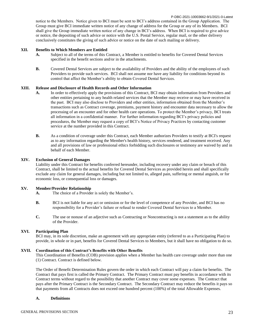P-DBC-2021-10003662-9/1/2021-0-Latest notice to the Members. Notice given to BCI must be sent to BCI's address contained in the Group Application. The Group must give BCI immediate written notice of any change of address for the Group or any of its Members. BCI shall give the Group immediate written notice of any change in BCI's address. When BCI is required to give advice or notice, the depositing of such advice or notice with the U.S. Postal Service, regular mail, or the other delivery conclusively constitutes the giving of such advice or notice on the date of such mailing or delivery.

#### **XII. Benefits to Which Members are Entitled**

- **A.** Subject to all of the terms of this Contract, a Member is entitled to benefits for Covered Dental Services specified in the benefit sections and/or in the attachments.
- **B.** Covered Dental Services are subject to the availability of Providers and the ability of the employees of such Providers to provide such services. BCI shall not assume nor have any liability for conditions beyond its control that affect the Member's ability to obtain Covered Dental Services.

#### **XIII. Release and Disclosure of Health Records and Other Information**

- **A.** In order to effectively apply the provisions of this Contract, BCI may obtain information from Providers and other entities pertaining to any health related services that the Member may receive or may have received in the past. BCI may also disclose to Providers and other entities, information obtained from the Member's transactions such as Contract coverage, premiums, payment history and encounter data necessary to allow the processing of an encounter and for other health care operations. To protect the Member's privacy, BCI treats all information in a confidential manner. For further information regarding BCI's privacy policies and procedures, the Member may request a copy of BCI's Notice of Privacy Practices by contacting customer service at the number provided in this Contract.
- **B.** As a condition of coverage under this Contract, each Member authorizes Providers to testify at BCI's request as to any information regarding the Member's health history, services rendered, and treatment received. Any and all provisions of law or professional ethics forbidding such disclosures or testimony are waived by and in behalf of each Member.

#### **XIV. Exclusion of General Damages**

Liability under this Contract for benefits conferred hereunder, including recovery under any claim or breach of this Contract, shall be limited to the actual benefits for Covered Dental Services as provided herein and shall specifically exclude any claim for general damages, including but not limited to, alleged pain, suffering or mental anguish, or for economic loss, or consequential loss or damages.

#### **XV. Member/Provider Relationship**

**A.** The choice of a Provider is solely the Member's.

- **B.** BCI is not liable for any act or omission or for the level of competence of any Provider, and BCI has no responsibility for a Provider's failure or refusal to render Covered Dental Services to a Member.
- **C.** The use or nonuse of an adjective such as Contracting or Noncontracting is not a statement as to the ability of the Provider.

#### **XVI. Participating Plan**

BCI may, in its sole discretion, make an agreement with any appropriate entity (referred to as a Participating Plan) to provide, in whole or in part, benefits for Covered Dental Services to Members, but it shall have no obligation to do so.

#### **XVII. Coordination of this Contract's Benefits with Other Benefits**

This Coordination of Benefits (COB) provision applies when a Member has health care coverage under more than one (1) Contract. Contract is defined below.

The Order of Benefit Determination Rules govern the order in which each Contract will pay a claim for benefits. The Contract that pays first is called the Primary Contract. The Primary Contract must pay benefits in accordance with its Contract terms without regard to the possibility that another Contract may cover some expenses. The Contract that pays after the Primary Contract is the Secondary Contract. The Secondary Contract may reduce the benefits it pays so that payments from all Contracts does not exceed one hundred percent (100%) of the total Allowable Expenses.

#### **A. Definitions**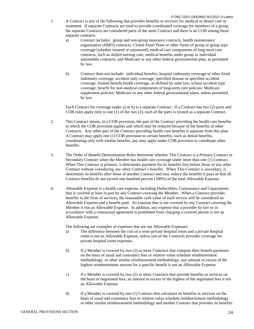- 1. A Contract is any of the following that provides benefits or services for medical or dental care or treatment. If separate Contracts are used to provide coordinated coverage for members of a group, the separate Contracts are considered parts of the same Contract and there is no COB among those separate contracts.
	- a) Contract includes: group and non-group insurance contracts, health maintenance organization (HMO) contracts, Closed Panel Plans or other forms of group or group type coverage (whether insured or uninsured); medical care components of long-term care contracts, such as skilled nursing care; medical benefits under group or individual automobile contracts; and Medicare or any other federal governmental plan, as permitted by law.
	- b) Contract does not include: individual benefits, hospital indemnity coverage or other fixed indemnity coverage; accident only coverage; specified disease or specified accident coverage; limited benefit health coverage, as defined by state law; school accident type coverage; benefit for non-medical components of long-term care policies; Medicare supplement policies; Medicare or any other federal governmental plans, unless permitted by law.

Each Contract for coverage under a) or b) is a separate Contract. If a Contract has two (2) parts and COB rules apply only to one (1) of the two (2), each of the parts is treated as a separate Contract.

- 2. This Contract means, in a COB provision, the part of the Contract providing the health care benefits to which the COB provision applies and which may be reduced because of the benefits of other Contracts. Any other part of the Contract providing health care benefits is separate from this plan. A Contract may apply one (1) COB provision to certain benefits, such as dental benefits, coordinating only with similar benefits, any may apply under COB provision to coordinate other benefits.
- 3. The Order of Benefit Determination Rules determine whether This Contract is a Primary Contract or Secondary Contract when the Member has health care coverage under more than one (1) Contract. When This Contract is primary, it determines payment for its benefits first before those of any other Contract without considering any other Contract's benefits. When This Contract is secondary, it determines its benefits after those of another Contract and may reduce the benefits it pays so that all Contract benefits do not exceed one hundred percent (100%) of the total Allowable Expense.
- 4. Allowable Expense is a health care expense, including Deductibles, Coinsurance and Copayments, that is covered at least in part by any Contract covering the Member. When a Contract provides benefits in the form of services, the reasonable cash value of each service will be considered an Allowable Expense and a benefit paid. An expense that is not covered by any Contract covering the Member is not an Allowable Expense. In addition, any expense that a provider by law or in accordance with a contractual agreement is prohibited from charging a covered person is not an Allowable Expense.

The following are examples of expenses that are not Allowable Expenses:

- a) The difference between the cost of a semi-private hospital room and a private hospital room is not an Allowable Expense, unless one of the Contracts provides coverage for private hospital room expenses.
- b) If a Member is covered by two (2) or more Contracts that compute their benefit payments on the basis of usual and customary fees or relative value schedule reimbursement methodology, or other similar reimbursement methodology, any amount in excess of the highest reimbursement amount for a specific benefit is not an Allowable Expense.
- c) If a Member is covered by two (2) or more Contracts that provide benefits or services on the basis of negotiated fees, an amount in excess of the highest of the negotiated fees it not an Allowable Expense.
- d) If a Member is covered by one (1) Contract that calculates its benefits or services on the basis of usual and customary fees or relative value schedule reimbursement methodology or other similar reimbursement methodology and another Contract that provides its benefits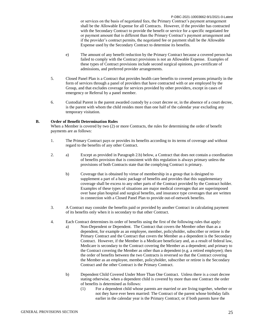P-DBC-2021-10003662-9/1/2021-0-Latest or services on the basis of negotiated fees, the Primary Contract's payment arrangement shall be the Allowable Expense for all Contracts. However, if the provider has contracted with the Secondary Contract to provide the benefit or service for a specific negotiated fee or payment amount that is different than the Primary Contract's payment arrangement and if the provider's contract permits, the negotiated fee or payment shall be the Allowable Expense used by the Secondary Contract to determine its benefits.

- e) The amount of any benefit reduction by the Primary Contract because a covered person has failed to comply with the Contract provisions is not an Allowable Expense. Examples of these types of Contract provisions include second surgical opinions, pre-certificate of admissions, and preferred provider arrangements.
- 5. Closed Panel Plan is a Contract that provides health care benefits to covered persons primarily in the form of services through a panel of providers that have contracted with or are employed by the Group, and that excludes coverage for services provided by other providers, except in cases of emergency or Referral by a panel member.
- 6. Custodial Parent is the parent awarded custody by a court decree or, in the absence of a court decree, is the parent with whom the child resides more than one half of the calendar year excluding any temporary visitation.

#### **B. Order of Benefit Determination Rules**

When a Member is covered by two (2) or more Contracts, the rules for determining the order of benefit payments are as follows:

- 1. The Primary Contract pays or provides its benefits according to its terms of coverage and without regard to the benefits of any other Contract.
- 2. a) Except as provided in Paragraph 2.b) below, a Contract that does not contain a coordination of benefits provision that is consistent with this regulation is always primary unless the provisions of both Contracts state that the complying Contract is primary.
	- b) Coverage that is obtained by virtue of membership in a group that is designed to supplement a part of a basic package of benefits and provides that this supplementary coverage shall be excess to any other parts of the Contract provided by the Contract holder. Examples of these types of situations are major medical coverages that are superimposed over base plan hospital and surgical benefits, and insurance type coverages that are written in connection with a Closed Panel Plan to provide out-of-network benefits.
- 3. A Contract may consider the benefits paid or provided by another Contract in calculating payment of its benefits only when it is secondary to that other Contract.
- 4. Each Contract determines its order of benefits using the first of the following rules that apply:
	- a) Non-Dependent or Dependent. The Contract that covers the Member other than as a dependent, for example as an employee, member, policyholder, subscriber or retiree is the Primary Contract and the Contract that covers the Member as a dependent is the Secondary Contract. However, if the Member is a Medicare beneficiary and, as a result of federal law, Medicare is secondary to the Contract covering the Member as a dependent; and primary to the Contract covering the Member as other than a dependent (e.g. a retired employee); then the order of benefits between the two Contracts is reversed so that the Contract covering the Member as an employee, member, policyholder, subscriber or retiree is the Secondary Contract and the other Contract is the Primary Contract.
	- b) Dependent Child Covered Under More Than One Contract. Unless there is a court decree stating otherwise, when a dependent child is covered by more than one Contract the order of benefits is determined as follows:
		- (1) For a dependent child whose parents are married or are living together, whether or not they have ever been married: The Contract of the parent whose birthday falls earlier in the calendar year is the Primary Contract; or if both parents have the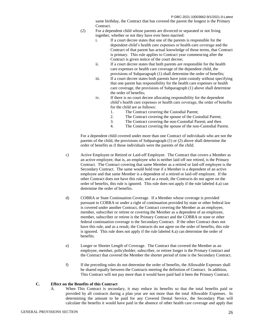same birthday, the Contract that has covered the parent the longest is the Primary Contract.

- (2) For a dependent child whose parents are divorced or separated or not living together, whether or not they have ever been married:
	- i. If a court decree states that one of the parents is responsible for the dependent child's health care expenses or health care coverage and the Contract of that parent has actual knowledge of those terms, that Contract is primary. This rule applies to Contract year commencing after the Contract is given notice of the court decree;
	- ii. If a court decree states that both parents are responsible for the health care expenses or health care coverage of the dependent child, the provisions of Subparagraph (1) shall determine the order of benefits;
	- iii. If a court decree states both parents have joint custody without specifying that one parent has responsibility for the health care expenses or health care coverage, the provisions of Subparagraph (1) above shall determine the order of benefits;
	- iv. If there is no court decree allocating responsibility for the dependent child's health care expenses or health care coverage, the order of benefits for the child are as follows:
		- 1. The Contract covering the Custodial Parent;
		- 2. The Contract covering the spouse of the Custodial Parent;
		- 3. The Contract covering the non-Custodial Parent; and then
		- 4. The Contract covering the spouse of the non-Custodial Parent.

For a dependent child covered under more than one Contract of individuals who are not the parents of the child, the provisions of Subparagraph (1) or (2) above shall determine the order of benefits as if those individuals were the parents of the child.

- c) Active Employee or Retired or Laid-off Employee. The Contract that covers a Member as an active employee, that is, an employee who is neither laid off nor retired, is the Primary Contract. The Contract covering that same Member as a retired or laid-off employee is the Secondary Contract. The same would hold true if a Member is a dependent of an active employee and that same Member is a dependent of a retired or laid-off employee. If the other Contract does not have this rule, and as a result, the Contracts do not agree on the order of benefits, this rule is ignored. This rule does not apply if the rule labeled 4.a) can determine the order of benefits.
- d) COBRA or State Continuation Coverage. If a Member whose coverage is provided pursuant to COBRA or under a right of continuation provided by state or other federal law is covered under another Contract, the Contract covering the Member as an employee, member, subscriber or retiree or covering the Member as a dependent of an employee, member, subscriber or retiree is the Primary Contract and the COBRA or state or other federal continuation coverage is the Secondary Contract. If the other Contract does not have this rule, and as a result, the Contracts do not agree on the order of benefits, this rule is ignored. This rule does not apply if the rule labeled 4.a) can determine the order of benefits.
- e) Longer or Shorter Length of Coverage. The Contract that covered the Member as an employee, member, policyholder, subscriber, or retiree longer is the Primary Contract and the Contract that covered the Member the shorter period of time is the Secondary Contract.
- f) If the preceding rules do not determine the order of benefits, the Allowable Expenses shall be shared equally between the Contracts meeting the definition of Contract. In addition, This Contract will not pay more than it would have paid had it been the Primary Contract.

#### **C. Effect on the Benefits of this Contract**

A. When This Contract is secondary, it may reduce its benefits so that the total benefits paid or provided by all contracts during a plan year are not more than the total Allowable Expenses. In determining the amount to be paid for any Covered Dental Service, the Secondary Plan will calculate the benefits it would have paid in the absence of other health care coverage and apply that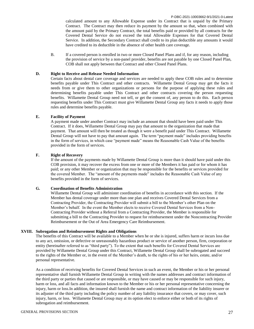P-DBC-2021-10003662-9/1/2021-0-Latest calculated amount to any Allowable Expense under its Contract that is unpaid by the Primary Contract. The Contract may then reduce its payment by the amount so that, when combined with the amount paid by the Primary Contract, the total benefits paid or provided by all contracts for the Covered Dental Service do not exceed the total Allowable Expenses for that Covered Dental Service. In addition, the Secondary Contract shall credit to its plan deductible any amounts it would have credited to its deductible in the absence of other health care coverage.

B. If a covered person is enrolled in two or more Closed Panel Plans and if, for any reason, including the provision of service by a non-panel provider, benefits are not payable by one Closed Panel Plan, COB shall not apply between that Contract and other Closed Panel Plans.

#### **D. Right to Receive and Release Needed Information**

Certain facts about dental care coverage and services are needed to apply these COB rules and to determine benefits payable under This Contract and other contracts. Willamette Dental Group may get the facts it needs from or give them to other organizations or persons for the purpose of applying these rules and determining benefits payable under This Contract and other contracts covering the person requesting benefits. Willamette Dental Group need not tell, or get the consent of, any person to do this. Each person requesting benefits under This Contract must give Willamette Dental Group any facts it needs to apply those rules and determine benefits payable.

#### **E. Facility of Payment**

A payment made under another Contract may include an amount that should have been paid under This Contract. If it does, Willamette Dental Group may pay that amount to the organization that made that payment. That amount will then be treated as though it were a benefit paid under This Contract. Willamette Dental Group will not have to pay that amount again. The term "payment made" includes providing benefits in the form of services, in which case "payment made" means the Reasonable Cash Value of the benefits provided in the form of services.

#### **F. Right of Recovery**

If the amount of the payments made by Willamette Dental Group is more than it should have paid under this COB provision, it may recover the excess from one or more of the Members it has paid or for whom it has paid; or any other Member or organization that may be responsible for the benefits or services provided for the covered Member. The "amount of the payments made" includes the Reasonable Cash Value of any benefits provided in the form of services.

#### **G. Coordination of Benefits Administration**

Willamette Dental Group will administer coordination of benefits in accordance with this section. If the Member has dental coverage under more than one plan and receives Covered Dental Services from a Contracting Provider, the Contracting Provider will submit a bill to the Member's other Plan on the Member's behalf. In the event the Member elects to receive Covered Dental Services from a Non-Contracting Provider without a Referral from a Contracting Provider, the Member is responsible for submitting a bill to the Contracting Provider to request for reimbursement under the Noncontracting Provider Reimbursement or the Out of Area Emergency Care Reimbursement.

#### **XVIII. Subrogation and Reimbursement Rights and Obligations**

The benefits of this Contract will be available to a Member when he or she is injured, suffers harm or incurs loss due to any act, omission, or defective or unreasonably hazardous product or service of another person, firm, corporation or entity (hereinafter referred to as "third party"). To the extent that such benefits for Covered Dental Services are provided by Willamette Dental Group under this Contract, Willamette Dental Group shall be subrogated and succeed to the rights of the Member or, in the event of the Member's death, to the rights of his or her heirs, estate, and/or personal representative.

As a condition of receiving benefits for Covered Dental Services in such an event, the Member or his or her personal representative shall furnish Willamette Dental Group in writing with the names addresses and contract information of the third party or parties that caused or are responsible, or may have caused or may be responsible for such injury, harm or loss, and all facts and information known to the Member or his or her personal representative concerning the injury, harm or loss.In addition, the insured shall furnish the name and contract information of the liability insurer or its adjuster of the third party including the policy number of any liability insurance that covers, or may cover, such injury, harm, or loss. Willamette Dental Group may at its option elect to enforce either or both of its rights of subrogation and reimbursement.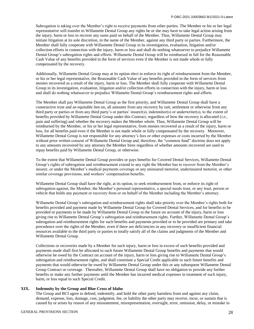Subrogation is taking over the Member's right to receive payments from other parties. The Member or his or her legal representative will transfer to Willamette Dental Group any rights he or she may have to take legal action arising from the injury, harm or loss to recover any sums paid on behalf of the Member. Thus, Willamette Dental Group may initiate litigation at its sole discretion, in the name of the Member, against any third party or parties. Furthermore, the Member shall fully cooperate with Willamette Dental Group in its investigation, evaluation, litigation and/or collection efforts in connection with the injury, harm or loss and shall do nothing whatsoever to prejudice Willamette Dental Group's subrogation rights and efforts. Willamette Dental Group will be reimbursed in full for the Reasonable Cash Value of any benefits provided in the form of services even if the Member is not made whole or fully compensated by the recovery.

Additionally, Willamette Dental Group may at its option elect to enforce its right of reimbursement from the Member, or his or her legal representative, the Reasonable Cash Value of any benefits provided in the form of services from monies recovered as a result of the injury, harm or loss. The Member shall fully cooperate with Willamette Dental Group in its investigation, evaluation, litigation and/or collection efforts in connection with the injury, harm or loss and shall do nothing whatsoever to prejudice Willamette Dental Group's reimbursement rights and efforts.

The Member shall pay Willamette Dental Group as the first priority, and Willamette Dental Group shall have a constructive trust and an equitable lien on, all amounts from any recovery by suit, settlement or otherwise from any third party or parties or from any third party's or parties' insurer(s), indemnitor(s) or underwriter(s), to the extent of benefits provided by Willamette Dental Group under this Contract, regardless of how the recovery is allocated (*i.e.*, pain and suffering) and whether the recovery makes the Member whole. Thus, Willamette Dental Group will be reimbursed by the Member, or his or her legal representative, from monies recovered as a result of the injury, harm or loss, for all benefits paid even if the Member is not made whole or fully compensated by the recovery. Moreover, Willamette Dental Group is not responsible for any attorney's fees or other expenses or costs incurred by the Member without prior written consent of Willamette Dental Group and, therefore, the "common fund" doctrine does not apply to any amounts recovered by any attorney the Member hires regardless of whether amounts recovered are used to repay benefits paid by Willamette Dental Group, or otherwise.

To the extent that Willamette Dental Group provides or pays benefits for Covered Dental Services, Willamette Dental Group's rights of subrogation and reimbursement extend to any right the Member has to recover from the Member's insurer, or under the Member's medical payments coverage or any uninsured motorist, underinsured motorist, or other similar coverage provisions, and workers' compensation benefits.

Willamette Dental Group shall have the right, at its option, to seek reimbursement from, or enforce its right of subrogation against, the Member, the Member's personal representative, a special needs trust, or any trust, person or vehicle that holds any payment or recovery from or on behalf of the Member including the Member's attorney.

Willamette Dental Group's subrogation and reimbursement rights shall take priority over the Member's rights both for benefits provided and payment made by Willamette Dental Group for Covered Dental Services, and for benefits to be provided or payments to be made by Willamette Dental Group in the future on account of the injury, harm or loss giving rise to Willamette Dental Group's subrogation and reimbursement rights. Further, Willamette Dental Group's subrogation and reimbursement rights for such benefits and payments provided or to be provided are primary and take precedence over the rights of the Member, even if there are deficiencies in any recovery or insufficient financial resources available to the third party or parties to totally satisfy all of the claims and judgments of the Member and Willamette Dental Group.

Collections or recoveries made by a Member for such injury, harm or loss in excess of such benefits provided and payments made shall first be allocated to such future Willamette Dental Group benefits and payments that would otherwise be owed by the Contract on account of the injury, harm or loss giving rise to Willamette Dental Group's subrogation and reimbursement rights, and shall constitute a Special Credit applicable to such future benefits and payments that would otherwise be owed by Willamette Dental Group under this or any subsequent Willamette Dental Group Contract or coverage. Thereafter, Willamette Dental Group shall have no obligation to provide any further benefits or make any further payments until the Member has incurred medical expenses in treatment of such injury, harm, or loss equal to such Special Credit.

#### **XIX. Indemnity by the Group and Blue Cross of Idaho**

The Group and BCI agree to defend, indemnify, and hold the other party harmless from and against any claim, demand, expense, loss, damage, cost, judgment, fee, or liability the other party may receive, incur, or sustain that is caused by or arises by reason of any misstatement, misrepresentation, oversight, error, omission, delay, or mistake in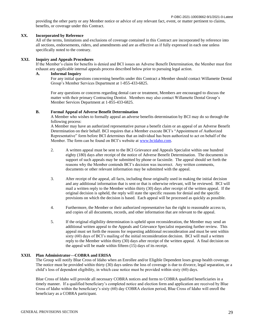providing the other party or any Member notice or advice of any relevant fact, event, or matter pertinent to claims, benefits, or coverage under this Contract.

#### **XX. Incorporated by Reference**

All of the terms, limitations and exclusions of coverage contained in this Contract are incorporated by reference into all sections, endorsements, riders, and amendments and are as effective as if fully expressed in each one unless specifically noted to the contrary.

#### **XXI. Inquiry and Appeals Procedures**

If the Member's claim for benefits is denied and BCI issues an Adverse Benefit Determination, the Member must first exhaust any applicable internal appeals process described below prior to pursuing legal action.

#### **A. Informal Inquiry**

For any initial questions concerning benefits under this Contract a Member should contact Willamette Dental Group's Member Services Department at 1-855-433-6825.

For any questions or concerns regarding dental care or treatment, Members are encouraged to discuss the matter with their primary Contracting Dentist. Members may also contact Willamette Dental Group's Member Services Department at 1-855-433-6825.

#### **B. Formal Appeal of Adverse Benefit Determination**

A Member who wishes to formally appeal an adverse benefits determination by BCI may do so through the following process:

A Member may have an authorized representative pursue a benefit claim or an appeal of an Adverse Benefit Determination on their behalf. BCI requires that a Member execute BCI's "Appointment of Authorized Representative" form before BCI determines that an individual has been authorized to act on behalf of the Member. The form can be found on BCI's website at [www.bcidaho.com.](http://www.bcidaho.com/)

- 2. A written appeal must be sent to the BCI Grievance and Appeals Specialist within one hundred eighty (180) days after receipt of the notice of Adverse Benefit Determination. The documents in support of such appeals may be submitted by phone or facsimile. The appeal should set forth the reasons why the Member contends BCI's decision was incorrect. Any written comments, documents or other relevant information may be submitted with the appeal.
- 3. After receipt of the appeal, all facts, including those originally used in making the initial decision and any additional information that is sent or that is otherwise relevant, will be reviewed. BCI will mail a written reply to the Member within thirty (30) days after receipt of the written appeal. If the original decision is upheld, the reply will state the specific reasons for denial and the specific provisions on which the decision is based. Each appeal will be processed as quickly as possible.
- 4. Furthermore, the Member or their authorized representative has the right to reasonable access to, and copies of all documents, records, and other information that are relevant to the appeal.
- 5. If the original eligibility determination is upheld upon reconsideration, the Member may send an additional written appeal to the Appeals and Grievance Specialist requesting further review. This appeal must set forth the reasons for requesting additional reconsideration and must be sent within sixty (60) days of BCI's mailing of the initial reconsideration decision. BCI will mail a written reply to the Member within thirty (30) days after receipt of the written appeal. A final decision on the appeal will be made within fifteen (15) days of its receipt.

#### **XXII. Plan Administrator—COBRA and ERISA**

The Group will notify Blue Cross of Idaho when an Enrollee and/or Eligible Dependent loses group health coverage. The notice must be provided within thirty (30) days unless the loss of coverage is due to divorce, legal separation, or a child's loss of dependent eligibility, in which case notice must be provided within sixty (60) days.

Blue Cross of Idaho will provide all necessary COBRA notices and forms to COBRA qualified beneficiaries in a timely manner. If a qualified beneficiary's completed notice and election form and application are received by Blue Cross of Idaho within the beneficiary's sixty (60) day COBRA election period, Blue Cross of Idaho will enroll the beneficiary as a COBRA participant.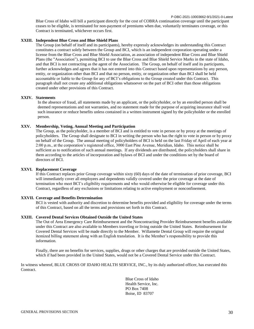P-DBC-2021-10003662-9/1/2021-0-Latest Blue Cross of Idaho will bill a participant directly for the cost of COBRA continuation coverage until the participant ceases to be eligible, is terminated for non-payment of premiums when due, voluntarily terminates coverage, or this Contract is terminated, whichever occurs first.

#### **XXIII. Independent Blue Cross and Blue Shield Plans**

The Group (on behalf of itself and its participants), hereby expressly acknowledges its understanding this Contract constitutes a contract solely between the Group and BCI, which is an independent corporation operating under a license from the Blue Cross and Blue Shield Association, as association of independent Blue Cross and Blue Shield Plans (the "Association"), permitting BCI to use the Blue Cross and Blue Shield Service Marks in the state of Idaho, and that BCI is not contracting as the agent of the Association. The Group, on behalf of itself and its participants, further acknowledges and agrees that it has not entered into this Contract based upon representations by any person, entity, or organization other than BCI and that no person, entity, or organization other than BCI shall be held accountable or liable to the Group for any of BCI's obligations to the Group created under this Contract. This paragraph shall not create any additional obligations whatsoever on the part of BCI other than those obligations created under other provisions of this Contract.

#### **XXIV. Statements**

In the absence of fraud, all statements made by an applicant, or the policyholder, or by an enrolled person shall be deemed representations and not warranties, and no statement made for the purpose of acquiring insurance shall void such insurance or reduce benefits unless contained in a written instrument signed by the policyholder or the enrolled person.

#### **XXV. Membership, Voting, Annual Meeting and Participation**

The Group, as the policyholder, is a member of BCI and is entitled to vote in person or by proxy at the meetings of policyholders. The Group shall designate to BCI in writing the person who has the right to vote in person or by proxy on behalf of the Group. The annual meeting of policyholders of BCI is held on the last Friday of April of each year at 2:00 p.m., at the corporation's registered office, 3000 East Pine Avenue, Meridian, Idaho. This notice shall be sufficient as to notification of such annual meetings. If any dividends are distributed, the policyholders shall share in them according to the articles of incorporation and bylaws of BCI and under the conditions set by the board of directors of BCI.

#### **XXVI. Replacement Coverage**

If this Contract replaces prior Group coverage within sixty (60) days of the date of termination of prior coverage, BCI will immediately cover all employees and dependents validly covered under the prior coverage at the date of termination who meet BCI's eligibility requirements and who would otherwise be eligible for coverage under this Contract, regardless of any exclusions or limitations relating to active employment or nonconfinement.

#### **XXVII. Coverage and Benefits Determination**

BCI is vested with authority and discretion to determine benefits provided and eligibility for coverage under the terms of this Contract, based on all the terms and provisions set forth in this Contract.

#### **XXIII. Covered Dental Services Obtained Outside the United States**

The Out of Area Emergency Care Reimbursement and the Noncontracting Provider Reimbursement benefits available under this Contract are also available to Members traveling or living outside the United States. Reimbursement for Covered Dental Services will be made directly to the Member. Willamette Dental Group will require the original itemized billing statement along with an English translation. It is the Member's responsibility to provide this information.

Finally, there are no benefits for services, supplies, drugs or other charges that are provided outside the United States, which if had been provided in the United States, would not be a Covered Dental Service under this Contract.

In witness whereof, BLUE CROSS OF IDAHO HEALTH SERVICE, INC., by its duly authorized officer, has executed this Contract.

> Blue Cross of Idaho Health Service, Inc. PO Box 7408 Boise, ID 83707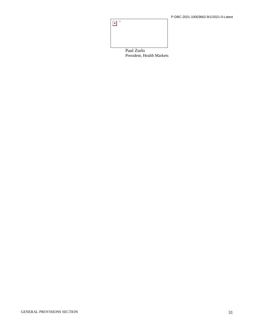

President, Health Markets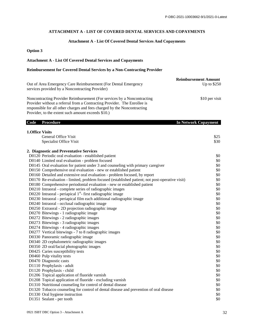#### **ATTACHMENT A - LIST OF COVERED DENTAL SERVICES AND COPAYMENTS**

## **Attachment A - List Of Covered Dental Services And Copayments**

# **Option 3**

### **Attachment A - List Of Covered Dental Services and Copayments**

### **Reimbursement for Covered Dental Services by a Non-Contracting Provider**

| Out of Area Emergency Care Reimbursement (For Dental Emergency                                                                                                                                                                  | <b>Reimbursement Amount</b><br>Up to $$250$ |
|---------------------------------------------------------------------------------------------------------------------------------------------------------------------------------------------------------------------------------|---------------------------------------------|
| services provided by a Noncontracting Provider)                                                                                                                                                                                 |                                             |
| Noncontracting Provider Reimbursement (For services by a Noncontracting<br>Provider without a referral from a Contracting Provider. The Enrollee is<br>responsible for all other charges and fees charged by the Noncontracting | \$10 per visit                              |
| Provider, to the extent such amount exceeds \$10.)<br>Code<br><b>Procedure</b>                                                                                                                                                  | <b>In Network Copayment</b>                 |

| <b>1.Office Visits</b> |                                                                                                |      |
|------------------------|------------------------------------------------------------------------------------------------|------|
|                        | General Office Visit                                                                           | \$25 |
|                        | Specialist Office Visit                                                                        | \$30 |
|                        | 2. Diagnostic and Preventative Services                                                        |      |
|                        | D0120 Periodic oral evaluation - established patient                                           | \$0  |
|                        | D0140 Limited oral evaluation - problem focused                                                | \$0  |
|                        | D0145 Oral evaluation for patient under 3 and counseling with primary caregiver                | \$0  |
|                        | D0150 Comprehensive oral evaluation - new or established patient                               | \$0  |
|                        | D0160 Detailed and extensive oral evaluation - problem focused, by report                      | \$0  |
|                        | D0170 Re-evaluation - limited, problem focused (established patient; not post-operative visit) | \$0  |
|                        | D0180 Comprehensive periodontal evaluation - new or established patient                        | \$0  |
|                        | D0210 Intraoral - complete series of radiographic images                                       | \$0  |
|                        | D0220 Intraoral - periapical 1 <sup>st</sup> - first radiographic image                        | \$0  |
|                        | D0230 Intraoral - periapical film each additional radiographic image                           | \$0  |
|                        | D0240 Intraoral - occlusal radiographic image                                                  | \$0  |
|                        | D0250 Extraoral - 2D projection radiographic image                                             | \$0  |
|                        | D0270 Bitewings - 1 radiographic image                                                         | \$0  |
|                        | D0272 Bitewings - 2 radiographic images                                                        | \$0  |
|                        | D0273 Bitewings - 3 radiographic images                                                        | \$0  |
|                        | D0274 Bitewings - 4 radiographic images                                                        | \$0  |
|                        | D0277 Vertical bitewings - 7 to 8 radiographic images                                          | \$0  |
|                        | D0330 Panoramic radiographic image                                                             | \$0  |
|                        | D0340 2D cephalometric radiographic images                                                     | \$0  |
|                        | D0350 2D oral/facial photographic images                                                       | \$0  |
|                        | D0425 Caries susceptibility tests                                                              | \$0  |
|                        | D0460 Pulp vitality tests                                                                      | \$0  |
|                        | D0470 Diagnostic casts                                                                         | \$0  |
|                        | D1110 Prophylaxis - adult                                                                      | \$0  |
|                        | D1120 Prophylaxis - child                                                                      | \$0  |
|                        | D1206 Topical application of fluoride varnish                                                  | \$0  |
|                        | D1208 Topical application of fluoride - excluding varnish                                      | \$0  |
|                        | D1310 Nutritional counseling for control of dental disease                                     | \$0  |
|                        | D1320 Tobacco counseling for control of dental disease and prevention of oral disease          | \$0  |
|                        | D1330 Oral hygiene instruction                                                                 | \$0  |
|                        | D1351 Sealant - per tooth                                                                      | \$0  |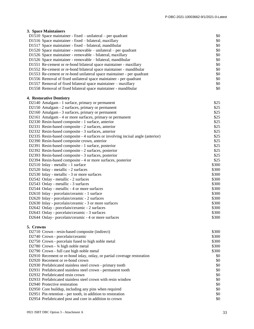# **3. Space Maintainers**

|           | 3. Space Maintainers                                                           |       |
|-----------|--------------------------------------------------------------------------------|-------|
|           | D1510 Space maintainer - fixed – unilateral – per quadrant                     | \$0   |
|           | D1516 Space maintainer - fixed - bilateral, maxillary                          | \$0   |
|           | D1517 Space maintainer - fixed - bilateral, mandibular                         | \$0   |
|           | D1520 Space maintainer - removable – unilateral – per quadrant                 | \$0   |
|           | D1526 Space maintainer - removable - bilateral, maxillary                      | \$0   |
|           | D1526 Space maintainer - removable - bilateral, mandibular                     | \$0   |
|           | D1551 Re-cement or re-bond bilateral space maintainer - maxillary              | \$0   |
|           | D1552 Re-cement or re-bond bilateral space maintainer - mandibular             | \$0   |
|           | D1553 Re-cement or re-bond unilateral space maintainer - per quadrant          | \$0   |
|           | D1556 Removal of fixed unilateral space maintainer - per quadrant              | \$0   |
|           | D1557 Removal of fixed bilateral space maintainer - maxillary                  | \$0   |
|           | D1558 Removal of fixed bilateral space maintainer - mandibular                 | \$0   |
|           | <b>4. Restorative Dentistry</b>                                                |       |
|           | D2140 Amalgam - 1 surface, primary or permanent                                | \$25  |
|           | D2150 Amalgam - 2 surfaces, primary or permanent                               | \$25  |
|           | D2160 Amalgam - 3 surfaces, primary or permanent                               | \$25  |
|           | D2161 Amalgam - 4 or more surfaces, primary or permanent                       | \$25  |
|           | D2330 Resin-based composite - 1 surface, anterior                              | \$25  |
|           | D2331 Resin-based composite - 2 surfaces, anterior                             | \$25  |
|           | D2332 Resin-based composite - 3 surfaces, anterior                             | \$25  |
|           | D2335 Resin-based composite - 4 surfaces or involving incisal angle (anterior) | \$25  |
|           | D2390 Resin-based composite crown, anterior                                    | \$25  |
|           | D2391 Resin-based composite - 1 surface, posterior                             | \$25  |
|           | D2392 Resin-based composite - 2 surfaces, posterior                            | \$25  |
|           | D2393 Resin-based composite - 3 surfaces, posterior                            | \$25  |
|           | D2394 Resin-based composite - 4 or more surfaces, posterior                    | \$25  |
|           | D2510 Inlay - metallic - 1 surface                                             | \$300 |
|           | D2520 Inlay - metallic - 2 surfaces                                            | \$300 |
|           | D2530 Inlay - metallic - 3 or more surfaces                                    | \$300 |
|           | D2542 Onlay - metallic - 2 surfaces                                            | \$300 |
|           | D2543 Onlay - metallic - 3 surfaces                                            | \$300 |
|           | D2544 Onlay - metallic - 4 or more surfaces                                    | \$300 |
|           | D2610 Inlay - porcelain/ceramic - 1 surface                                    | \$300 |
|           | D2620 Inlay - porcelain/ceramic - 2 surfaces                                   | \$300 |
|           | D2630 Inlay - porcelain/ceramic - 3 or more surfaces                           | \$300 |
|           | D2642 Onlay - porcelain/ceramic - 2 surfaces                                   | \$300 |
|           | D2643 Onlay - porcelain/ceramic - 3 surfaces                                   | \$300 |
|           | D2644 Onlay-porcelain/ceramic - 4 or more surfaces                             | \$300 |
| 5. Crowns |                                                                                |       |
|           | D2710 Crown - resin-based composite (indirect)                                 | \$300 |
|           | D2740 Crown - porcelain/ceramic                                                | \$300 |
|           | D2750 Crown - porcelain fused to high noble metal                              | \$300 |
|           | D2780 Crown - 3⁄4 high noble metal                                             | \$300 |
|           | D2790 Crown - full cast high noble metal                                       | \$300 |

D2910 Recement or re-bond inlay, onlay, or partial coverage restoration \$0

D2930 Prefabricated stainless steel crown - primary tooth \$0 D2931 Prefabricated stainless steel crown - permanent tooth \$0 D2932 Prefabricated resin crown \$0 D2933 Prefabricated stainless steel crown with resin window \$0 \$0 D2940 Protective restoration \$0<br>D2950 Core buildup, including any pins when required \$0 \$0

D2950 Core buildup, including any pins when required

D2920 Recement or re-bond crown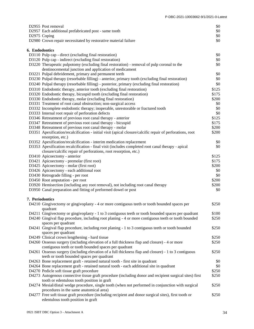|                 | D2955 Post removal<br>D2957 Each additional prefabricated post - same tooth                                                  | \$0<br>\$0     |
|-----------------|------------------------------------------------------------------------------------------------------------------------------|----------------|
|                 | D2975 Coping                                                                                                                 | \$0            |
|                 | D2980 Crown repair necessitated by restorative material failure                                                              | \$0            |
|                 |                                                                                                                              |                |
| 6. Endodontics  |                                                                                                                              |                |
|                 | D3110 Pulp cap - direct (excluding final restoration)                                                                        | \$0            |
|                 | D3120 Pulp cap - indirect (excluding final restoration)                                                                      | \$0            |
|                 | D3220 Therapeutic pulpotomy (excluding final restoration) - removal of pulp coronal to the                                   | \$0            |
|                 | dentinocemental junction and application of medicament                                                                       |                |
|                 | D3221 Pulpal debridement, primary and permanent teeth                                                                        | \$0            |
|                 | D3230 Pulpal therapy (resorbable filling) - anterior, primary tooth (excluding final restoration)                            | \$0            |
|                 | D3240 Pulpal therapy (resorbable filling) - posterior, primary (excluding final restoration)                                 | \$0            |
|                 | D3310 Endodontic therapy, anterior tooth (excluding final restoration)                                                       | \$125          |
|                 | D3320 Endodontic therapy, bicuspid tooth (excluding final restoration)                                                       | \$175          |
|                 | D3330 Endodontic therapy, molar (excluding final restoration)                                                                | \$200          |
|                 | D3331 Treatment of root canal obstruction; non-surgical access                                                               | \$0            |
|                 | D3332 Incomplete endodontic therapy; inoperable, unrestorable or fractured tooth                                             | \$0            |
|                 | D3333 Internal root repair of perforation defects                                                                            | \$0            |
|                 | D3346 Retreatment of previous root canal therapy - anterior                                                                  | \$125<br>\$175 |
|                 | D3347 Retreatment of previous root canal therapy - bicuspid<br>D3348 Retreatment of previous root canal therapy - molar      | \$200          |
|                 | D3351 Apexification/recalcification - initial visit (apical closure/calcific repair of perforations, root                    | \$200          |
|                 | resorption, etc.)                                                                                                            |                |
|                 | D3352 Apexification/recalcification - interim medication replacement                                                         | \$0            |
|                 | D3353 Apexification recalcification - final visit (includes completed root canal therapy - apical                            | \$0            |
|                 | closure/calcific repair of perforations, root resorption, etc.)                                                              |                |
|                 | D3410 Apicoectomy - anterior                                                                                                 | \$125          |
|                 | D3421 Apicoectomy - premolar (first root)                                                                                    | \$175          |
|                 | D3425 Apicoectomy - molar (first root)                                                                                       | \$200          |
|                 | D3426 Apicoectomy - each additional root                                                                                     | \$0            |
|                 | D3430 Retrograde filling - per root                                                                                          | \$0            |
|                 | D3450 Root amputation - per root                                                                                             | \$200          |
|                 | D3920 Hemisection (including any root removal), not including root canal therapy                                             | \$200          |
|                 | D3950 Canal preparation and fitting of preformed dowel or post                                                               | \$0            |
|                 |                                                                                                                              |                |
| 7. Periodontics |                                                                                                                              |                |
|                 | D4210 Gingivectomy or gingivoplasty - 4 or more contiguous teeth or tooth bounded spaces per                                 | \$250          |
|                 | quadrant                                                                                                                     |                |
|                 | D4211 Gingivectomy or gingivoplasty - 1 to 3 contiguous teeth or tooth bounded spaces per quadrant                           | \$100          |
|                 | D4240 Gingival flap procedure, including root planing - 4 or more contiguous teeth or tooth bounded                          | \$250          |
|                 | spaces per quadrant                                                                                                          |                |
|                 | D4241 Gingival flap procedure, including root planing - 1 to 3 contiguous teeth or tooth bounded                             | \$250          |
|                 | spaces per quadrant                                                                                                          |                |
|                 | D4249 Clinical crown lengthening - hard tissue                                                                               | \$250          |
|                 | D4260 Osseous surgery (including elevation of a full thickness flap and closure) - 4 or more                                 | \$250          |
|                 | contiguous teeth or tooth bounded spaces per quadrant                                                                        | \$250          |
|                 | D4261 Osseous surgery (including elevation of a full thickness flap and closure) - 1 to 3 contiguous                         |                |
|                 | teeth or tooth bounded spaces per quadrant<br>D4263 Bone replacement graft - retained natural tooth - first site in quadrant | \$0            |
|                 | D4264 Bone replacement graft - retained natural tooth - each additional site in quadrant                                     | \$0            |
|                 | D4270 Pedicle soft tissue graft procedure                                                                                    | \$250          |
|                 | D4273 Autogenous connective tissue graft procedure (including donor and recipient surgical sites) first                      | \$250          |
|                 | tooth or edentulous tooth position in graft                                                                                  |                |
|                 | D4274 Mesial/distal wedge procedure, single tooth (when not performed in conjunction with surgical                           | \$250          |
|                 | procedures in the same anatomical area)                                                                                      |                |
|                 | D4277 Free soft tissue graft procedure (including recipient and donor surgical sites), first tooth or                        | \$250          |
|                 | edentulous tooth position in graft                                                                                           |                |
|                 |                                                                                                                              |                |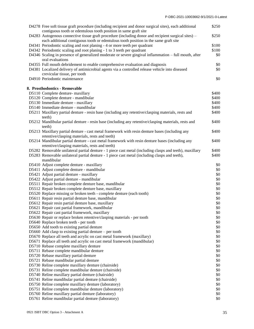| D4278 Free soft tissue graft procedure (including recipient and donor surgical sites), each additional<br>contiguous tooth or edentulous tooth position in same graft site                  | \$250      |
|---------------------------------------------------------------------------------------------------------------------------------------------------------------------------------------------|------------|
| D4283 Autogenous connective tissue graft procedure (including donor and recipient surgical sites) –<br>each additional contiguous tooth or edentulous tooth position in the same graft site | \$250      |
| D4341 Periodontic scaling and root planing - 4 or more teeth per quadrant                                                                                                                   | \$100      |
| D4342 Periodontic scaling and root planing - 1 to 3 teeth per quadrant                                                                                                                      | \$100      |
| D4346 Scaling in presence of generalized moderate or severe gingival inflammation - full mouth, after<br>oral evaluations                                                                   | \$0        |
| D4355 Full mouth debridement to enable comprehensive evaluation and diagnosis                                                                                                               | \$0        |
| D4381 Localized delivery of antimicrobial agents via a controlled release vehicle into diseased                                                                                             | \$0        |
| crevicular tissue, per tooth                                                                                                                                                                |            |
| D4910 Periodontic maintenance                                                                                                                                                               | \$0        |
| 8. Prosthodontics - Removable                                                                                                                                                               |            |
| D5110 Complete denture- maxillary                                                                                                                                                           | \$400      |
| D5120 Complete denture - mandibular                                                                                                                                                         | \$400      |
| D5130 Immediate denture - maxillary                                                                                                                                                         | \$400      |
| D5140 Immediate denture - mandibular                                                                                                                                                        | \$400      |
| D5211 Maxillary partial denture - resin base (including any retentive/clasping materials, rests and<br>teeth)                                                                               | \$400      |
| D5212 Mandibular partial denture - resin base (including any retentive/clasping materials, rests and<br>teeth)                                                                              | \$400      |
| D5213 Maxillary partial denture - cast metal framework with resin denture bases (including any<br>retentive/clasping materials, rests and teeth)                                            | \$400      |
| D5214 Mandibular partial denture - cast metal framework with resin denture bases (including any<br>retentive/clasping materials, rests and teeth)                                           | \$400      |
| D5282 Removable unilateral partial denture - 1 piece cast metal (including clasps and teeth), maxillary                                                                                     | \$400      |
| D5283 Removable unilateral partial denture - 1 piece cast metal (including clasps and teeth),<br>mandibular                                                                                 | \$400      |
| D5410 Adjust complete denture - maxillary                                                                                                                                                   | \$0        |
| D5411 Adjust complete denture - mandibular                                                                                                                                                  | \$0        |
| D5421 Adjust partial denture - maxillary                                                                                                                                                    | \$0        |
| D5422 Adjust partial denture - mandibular                                                                                                                                                   | \$0        |
| D5511 Repair broken complete denture base, mandibular                                                                                                                                       | \$0        |
| D5512 Repair broken complete denture base, maxillary                                                                                                                                        | \$0        |
| D5520 Replace missing or broken teeth - complete denture (each tooth)                                                                                                                       | \$0        |
| D5611 Repair resin partial denture base, mandibular                                                                                                                                         | \$0        |
| D5612 Repair resin partial denture base, maxillary                                                                                                                                          | \$0        |
| D5621 Repair cast partial framework, mandibular                                                                                                                                             | \$0        |
| D5622 Repair cast partial framework, maxillary                                                                                                                                              | \$0        |
| D5630 Repair or replace broken retentive/clasping materials - per tooth                                                                                                                     | \$0        |
| D5640 Replace broken teeth - per tooth                                                                                                                                                      | \$0        |
| D5650 Add tooth to existing partial denture                                                                                                                                                 | \$0        |
| D5660 Add clasp to existing partial denture $-$ per tooth<br>D5670 Replace all teeth and acrylic on cast metal framework (maxillary)                                                        | \$0<br>\$0 |
| D5671 Replace all teeth and acrylic on cast metal framework (mandibular)                                                                                                                    | \$0        |
| D5710 Rebase complete maxillary denture                                                                                                                                                     | \$0        |
| D5711 Rebase complete mandibular denture                                                                                                                                                    | \$0        |
| D5720 Rebase maxillary partial denture                                                                                                                                                      | \$0        |
| D5721 Rebase mandibular partial denture                                                                                                                                                     | \$0        |
| D5730 Reline complete maxillary denture (chairside)                                                                                                                                         | \$0        |
| D5731 Reline complete mandibular denture (chairside)                                                                                                                                        | \$0        |
| D5740 Reline maxillary partial denture (chairside)                                                                                                                                          | \$0        |
| D5741 Reline mandibular partial denture (chairside)                                                                                                                                         | \$0        |
| D5750 Reline complete maxillary denture (laboratory)                                                                                                                                        | \$0        |
| D5751 Reline complete mandibular denture (laboratory)                                                                                                                                       | \$0        |
| D5760 Reline maxillary partial denture (laboratory)                                                                                                                                         | \$0        |
| D5761 Reline mandibular partial denture (laboratory)                                                                                                                                        | \$0        |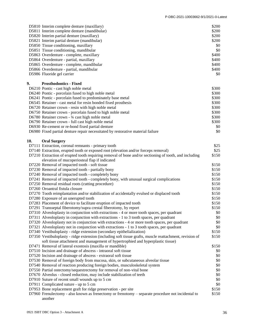|     | D5810 Interim complete denture (maxillary)                                                              | \$200 |
|-----|---------------------------------------------------------------------------------------------------------|-------|
|     | D5811 Interim complete denture (mandibular)                                                             | \$200 |
|     | D5820 Interim partial denture (maxillary)                                                               | \$200 |
|     | D5821 Interim partial denture (mandibular)                                                              | \$200 |
|     | D5850 Tissue conditioning, maxillary                                                                    | \$0   |
|     | D5851 Tissue conditioning, mandibular                                                                   | \$0   |
|     |                                                                                                         |       |
|     | D5863 Overdenture - complete, maxillary                                                                 | \$400 |
|     | D5864 Overdenture - partial, maxillary                                                                  | \$400 |
|     | D5865 Overdenture - complete, mandibular                                                                | \$400 |
|     | D5866 Overdenture - partial, mandibular                                                                 | \$400 |
|     | D5986 Fluoride gel carrier                                                                              | \$0   |
|     |                                                                                                         |       |
| 9.  | <b>Prosthodontics - Fixed</b>                                                                           |       |
|     | D6210 Pontic - cast high noble metal                                                                    | \$300 |
|     | D6240 Pontic - porcelain fused to high noble metal                                                      | \$300 |
|     | D6241 Pontic - porcelain fused to predominately base metal                                              | \$300 |
|     | D6545 Retainer - cast metal for resin bonded fixed prosthesis                                           | \$300 |
|     | D6720 Retainer crown - resin with high noble metal                                                      | \$300 |
|     |                                                                                                         |       |
|     | D6750 Retainer crown - porcelain fused to high noble metal                                              | \$300 |
|     | D6780 Retainer crown - 3⁄4 cast high noble metal                                                        | \$300 |
|     | D6790 Retainer crown - full cast high noble metal                                                       | \$300 |
|     | D6930 Re-cement or re-bond fixed partial denture                                                        | \$0   |
|     | D6980 Fixed partial denture repair necessitated by restorative material failure                         | \$0   |
|     |                                                                                                         |       |
| 10. | <b>Oral Surgery</b>                                                                                     |       |
|     | D7111 Extraction, coronal remnants - primary tooth                                                      | \$25  |
|     | D7140 Extraction, erupted tooth or exposed root (elevation and/or forceps removal)                      | \$25  |
|     | D7210 Extraction of erupted tooth requiring removal of bone and/or sectioning of tooth, and including   | \$150 |
|     | elevation of mucoperiosteal flap if indicated                                                           |       |
|     | D7220 Removal of impacted tooth - soft tissue                                                           | \$150 |
|     |                                                                                                         | \$150 |
|     | D7230 Removal of impacted tooth - partially bony                                                        |       |
|     | D7240 Removal of impacted tooth - completely bony                                                       | \$150 |
|     | D7241 Removal of impacted tooth - completely bony, with unusual surgical complications                  | \$150 |
|     | D7250 Removal residual roots (cutting procedure)                                                        | \$150 |
|     | D7260 Oroantral fistula closure                                                                         | \$150 |
|     | D7270 Tooth reimplantation and/or stabilization of accidentally evulsed or displaced tooth              | \$150 |
|     | D7280 Exposure of an unerupted tooth                                                                    | \$150 |
|     | D7283 Placement of device to facilitate eruption of impacted tooth                                      | \$150 |
|     | D7291 Transseptal fiberotomy/supra crestal fiberotomy, by report                                        | \$150 |
|     |                                                                                                         |       |
|     | D7310 Alveoloplasty in conjunction with extractions - 4 or more tooth spaces, per quadrant              | \$0   |
|     | D7311 Alveoloplasty in conjunction with extractions - 1 to 3 tooth spaces, per quadrant                 | \$0   |
|     | D7320 Alveoloplasty not in conjunction with extractions - 4 or more tooth spaces, per quadrant          | \$0   |
|     | D7321 Alveoloplasty not in conjunction with extractions - 1 to 3 tooth spaces, per quadrant             | \$0   |
|     | D7340 Vestibuloplasty - ridge extension (secondary epithelialization)                                   | \$150 |
|     | D7350 Vestibuloplasty - ridge extension (including soft tissue grafts, muscle reattachment, revision of | \$150 |
|     | soft tissue attachment and management of hypertrophied and hyperplastic tissue)                         |       |
|     | D7471 Removal of lateral exostosis (maxilla or mandible)                                                | \$150 |
|     | D7510 Incision and drainage of abscess - intraoral soft tissue                                          | \$0   |
|     |                                                                                                         |       |
|     | D7520 Incision and drainage of abscess - extraoral soft tissue                                          | \$0   |
|     | D7530 Removal of foreign body from mucosa, skin, or subcutaneous alveolar tissue                        | \$0   |
|     | D7540 Removal of reaction producing foreign bodies, musculoskeletal system                              | \$0   |
|     | D7550 Partial ostectomy/sequestrectomy for removal of non-vital bone                                    | \$0   |
|     | D7670 Alveolus - closed reduction, may include stabilization of teeth                                   | \$0   |
|     | D7910 Suture of recent small wounds up to 5 cm                                                          | \$0   |
|     | D7911 Complicated suture - up to 5 cm                                                                   | \$0   |
|     | D7953 Bone replacement graft for ridge preservation - per site                                          | \$150 |
|     | D7960 Frenulectomy - also known as frenectomy or frenotomy – separate procedure not incidental to       | \$150 |
|     | another                                                                                                 |       |
|     |                                                                                                         |       |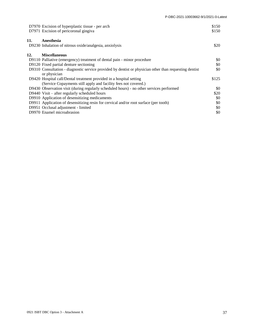| D7970 Excision of hyperplastic tissue - per arch<br>D7971 Excision of pericoronal gingiva |                                                                                                        | \$150<br>\$150 |
|-------------------------------------------------------------------------------------------|--------------------------------------------------------------------------------------------------------|----------------|
| Anesthesia<br>11.<br>D9230 Inhalation of nitrous oxide/analgesia, anxiolysis              |                                                                                                        | \$20           |
| <b>Miscellaneous</b><br>12.                                                               |                                                                                                        |                |
|                                                                                           | D9110 Palliative (emergency) treatment of dental pain - minor procedure                                | \$0            |
| D9120 Fixed partial denture sectioning                                                    |                                                                                                        | \$0            |
| or physician                                                                              | D9310 Consultation - diagnostic service provided by dentist or physician other than requesting dentist | \$0            |
| D9420 Hospital call/Dental treatment provided in a hospital setting                       |                                                                                                        | \$125          |
|                                                                                           | (Service Copayments still apply and facility fees not covered.)                                        |                |
|                                                                                           | D9430 Observation visit (during regularly scheduled hours) - no other services performed               | \$0            |
| D9440 Visit – after regularly scheduled hours                                             |                                                                                                        | \$20           |
| D9910 Application of desensitizing medicaments                                            |                                                                                                        | \$0            |
|                                                                                           | D9911 Application of desensitizing resin for cervical and/or root surface (per tooth)                  | \$0            |
| D9951 Occlusal adjustment - limited                                                       |                                                                                                        | \$0            |
| D9970 Enamel microabrasion                                                                |                                                                                                        | \$0            |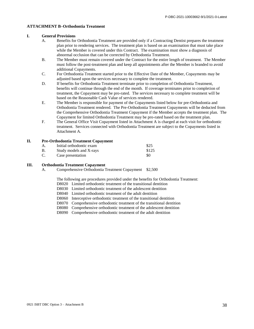#### **ATTACHMENT B–Orthodontia Treatment**

#### **I. General Provisions**

- A. Benefits for Orthodontia Treatment are provided only if a Contracting Dentist prepares the treatment plan prior to rendering services. The treatment plan is based on an examination that must take place while the Member is covered under this Contract. The examination must show a diagnosis of abnormal occlusion that can be corrected by Orthodontia Treatment.
- B. The Member must remain covered under the Contract for the entire length of treatment. The Member must follow the post-treatment plan and keep all appointments after the Member is branded to avoid additional Copayments.
- C. For Orthodontia Treatment started prior to the Effective Date of the Member, Copayments may be adjusted based upon the services necessary to complete the treatment.
- D. If benefits for Orthodontia Treatment terminate prior to completion of Orthodontia Treatment, benefits will continue through the end of the month. If coverage terminates prior to completion of treatment, the Copayment may be pro-rated. The services necessary to complete treatment will be based on the Reasonable Cash Value of services rendered.
- E. The Member is responsible for payment of the Copayments listed below for pre-Orthodontia and Orthodontia Treatment rendered. The Pre-Orthodontia Treatment Copayments will be deducted from the Comprehensive Orthodontia Treatment Copayment if the Member accepts the treatment plan. The Copayment for limited Orthodontia Treatment may be pro-rated based on the treatment plan.
- F. The General Office Visit Copayment listed in Attachment A is charged at each visit for orthodontic treatment. Services connected with Orthodontia Treatment are subject to the Copayments listed in Attachment A.

#### **II. Pre-Orthodontia Treatment Copayment**

|    | Initial orthodontic exam | \$25  |
|----|--------------------------|-------|
|    | Study models and X-rays  | \$125 |
| C. | Case presentation        | -80   |

#### **III. Orthodontia Treatment Copayment**

A. Comprehensive Orthodontia Treatment Copayment \$2,500

The following are procedures provided under the benefits for Orthodontia Treatment:

D8020 Limited orthodontic treatment of the transitional dentition

- D8030 Limited orthodontic treatment of the adolescent dentition
- D8040 Limited orthodontic treatment of the adult dentition
- D8060 Interceptive orthodontic treatment of the transitional dentition
- D8070 Comprehensive orthodontic treatment of the transitional dentition
- D8080 Comprehensive orthodontic treatment of the adolescent dentition

D8090 Comprehensive orthodontic treatment of the adult dentition